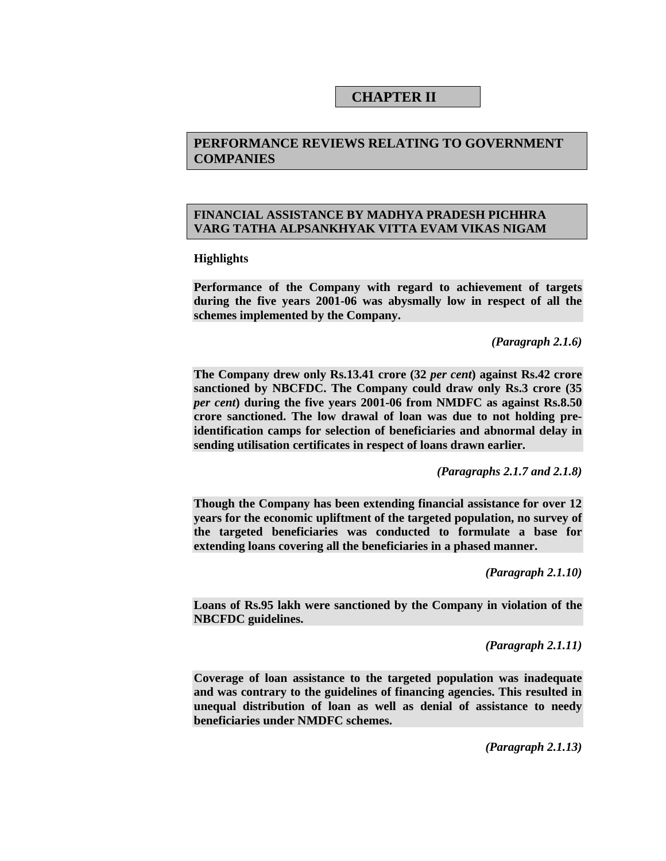# **CHAPTER II**

# **PERFORMANCE REVIEWS RELATING TO GOVERNMENT COMPANIES**

# **FINANCIAL ASSISTANCE BY MADHYA PRADESH PICHHRA VARG TATHA ALPSANKHYAK VITTA EVAM VIKAS NIGAM**

### **Highlights**

**Performance of the Company with regard to achievement of targets during the five years 2001-06 was abysmally low in respect of all the schemes implemented by the Company.** 

*(Paragraph 2.1.6)* 

**The Company drew only Rs.13.41 crore (32** *per cent***) against Rs.42 crore sanctioned by NBCFDC. The Company could draw only Rs.3 crore (35**  *per cent***) during the five years 2001-06 from NMDFC as against Rs.8.50 crore sanctioned. The low drawal of loan was due to not holding preidentification camps for selection of beneficiaries and abnormal delay in sending utilisation certificates in respect of loans drawn earlier.** 

*(Paragraphs 2.1.7 and 2.1.8)* 

**Though the Company has been extending financial assistance for over 12 years for the economic upliftment of the targeted population, no survey of the targeted beneficiaries was conducted to formulate a base for extending loans covering all the beneficiaries in a phased manner.** 

*(Paragraph 2.1.10)* 

**Loans of Rs.95 lakh were sanctioned by the Company in violation of the NBCFDC guidelines.** 

*(Paragraph 2.1.11)*

**Coverage of loan assistance to the targeted population was inadequate and was contrary to the guidelines of financing agencies. This resulted in unequal distribution of loan as well as denial of assistance to needy beneficiaries under NMDFC schemes.** 

*(Paragraph 2.1.13)*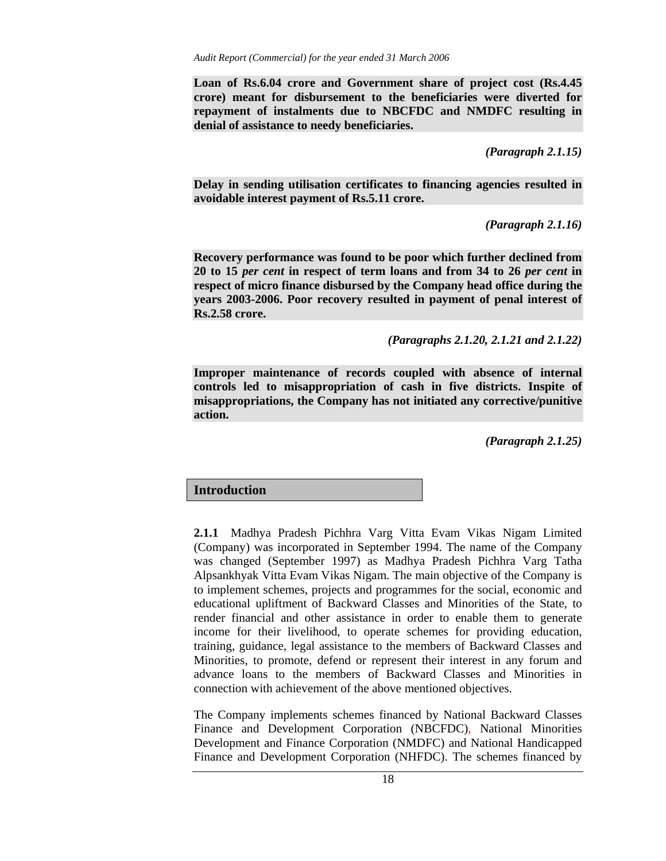**Loan of Rs.6.04 crore and Government share of project cost (Rs.4.45 crore) meant for disbursement to the beneficiaries were diverted for repayment of instalments due to NBCFDC and NMDFC resulting in denial of assistance to needy beneficiaries.** 

*(Paragraph 2.1.15)* 

**Delay in sending utilisation certificates to financing agencies resulted in avoidable interest payment of Rs.5.11 crore.** 

*(Paragraph 2.1.16)* 

**Recovery performance was found to be poor which further declined from 20 to 15** *per cent* **in respect of term loans and from 34 to 26** *per cent* **in respect of micro finance disbursed by the Company head office during the years 2003-2006. Poor recovery resulted in payment of penal interest of Rs.2.58 crore.** 

*(Paragraphs 2.1.20, 2.1.21 and 2.1.22)* 

**Improper maintenance of records coupled with absence of internal controls led to misappropriation of cash in five districts. Inspite of misappropriations, the Company has not initiated any corrective/punitive action.** 

*(Paragraph 2.1.25)* 

## **Introduction**

**2.1.1** Madhya Pradesh Pichhra Varg Vitta Evam Vikas Nigam Limited (Company) was incorporated in September 1994. The name of the Company was changed (September 1997) as Madhya Pradesh Pichhra Varg Tatha Alpsankhyak Vitta Evam Vikas Nigam. The main objective of the Company is to implement schemes, projects and programmes for the social, economic and educational upliftment of Backward Classes and Minorities of the State, to render financial and other assistance in order to enable them to generate income for their livelihood, to operate schemes for providing education, training, guidance, legal assistance to the members of Backward Classes and Minorities, to promote, defend or represent their interest in any forum and advance loans to the members of Backward Classes and Minorities in connection with achievement of the above mentioned objectives.

The Company implements schemes financed by National Backward Classes Finance and Development Corporation (NBCFDC), National Minorities Development and Finance Corporation (NMDFC) and National Handicapped Finance and Development Corporation (NHFDC). The schemes financed by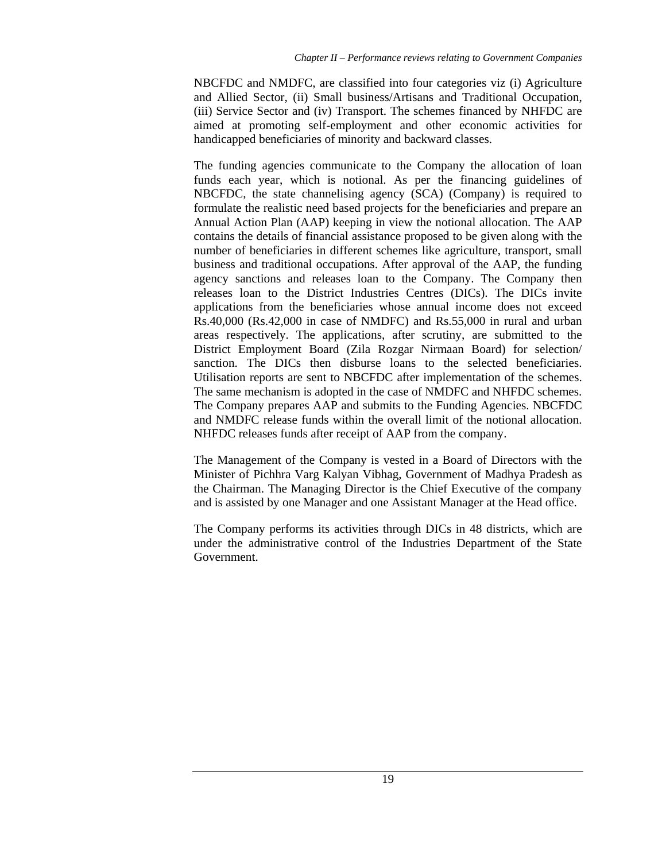NBCFDC and NMDFC, are classified into four categories viz (i) Agriculture and Allied Sector, (ii) Small business/Artisans and Traditional Occupation, (iii) Service Sector and (iv) Transport. The schemes financed by NHFDC are aimed at promoting self-employment and other economic activities for handicapped beneficiaries of minority and backward classes.

The funding agencies communicate to the Company the allocation of loan funds each year, which is notional. As per the financing guidelines of NBCFDC, the state channelising agency (SCA) (Company) is required to formulate the realistic need based projects for the beneficiaries and prepare an Annual Action Plan (AAP) keeping in view the notional allocation. The AAP contains the details of financial assistance proposed to be given along with the number of beneficiaries in different schemes like agriculture, transport, small business and traditional occupations. After approval of the AAP, the funding agency sanctions and releases loan to the Company. The Company then releases loan to the District Industries Centres (DICs). The DICs invite applications from the beneficiaries whose annual income does not exceed Rs.40,000 (Rs.42,000 in case of NMDFC) and Rs.55,000 in rural and urban areas respectively. The applications, after scrutiny, are submitted to the District Employment Board (Zila Rozgar Nirmaan Board) for selection/ sanction. The DICs then disburse loans to the selected beneficiaries. Utilisation reports are sent to NBCFDC after implementation of the schemes. The same mechanism is adopted in the case of NMDFC and NHFDC schemes. The Company prepares AAP and submits to the Funding Agencies. NBCFDC and NMDFC release funds within the overall limit of the notional allocation. NHFDC releases funds after receipt of AAP from the company.

The Management of the Company is vested in a Board of Directors with the Minister of Pichhra Varg Kalyan Vibhag, Government of Madhya Pradesh as the Chairman. The Managing Director is the Chief Executive of the company and is assisted by one Manager and one Assistant Manager at the Head office.

The Company performs its activities through DICs in 48 districts, which are under the administrative control of the Industries Department of the State Government.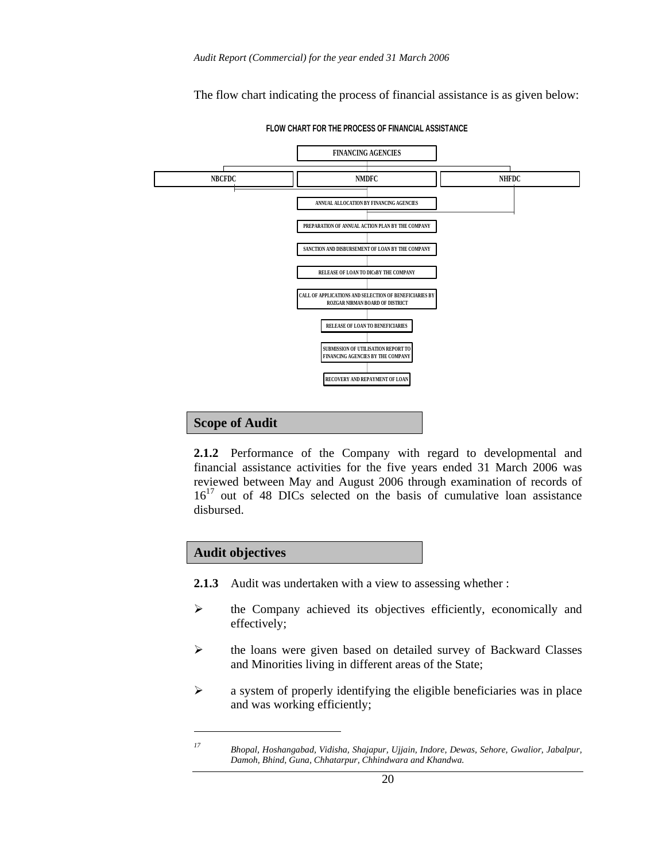The flow chart indicating the process of financial assistance is as given below:



**FLOW CHART FOR THE PROCESS OF FINANCIAL ASSISTANCE**

## **Scope of Audit**

**2.1.2** Performance of the Company with regard to developmental and financial assistance activities for the five years ended 31 March 2006 was reviewed between May and August 2006 through examination of records of  $16^{17}$  out of 48 DICs selected on the basis of cumulative loan assistance disbursed.



l

- **2.1.3** Audit was undertaken with a view to assessing whether :
- $\triangleright$  the Company achieved its objectives efficiently, economically and effectively;
- ¾ the loans were given based on detailed survey of Backward Classes and Minorities living in different areas of the State;
- $\triangleright$  a system of properly identifying the eligible beneficiaries was in place and was working efficiently;

*<sup>17</sup> Bhopal, Hoshangabad, Vidisha, Shajapur, Ujjain, Indore, Dewas, Sehore, Gwalior, Jabalpur, Damoh, Bhind, Guna, Chhatarpur, Chhindwara and Khandwa.*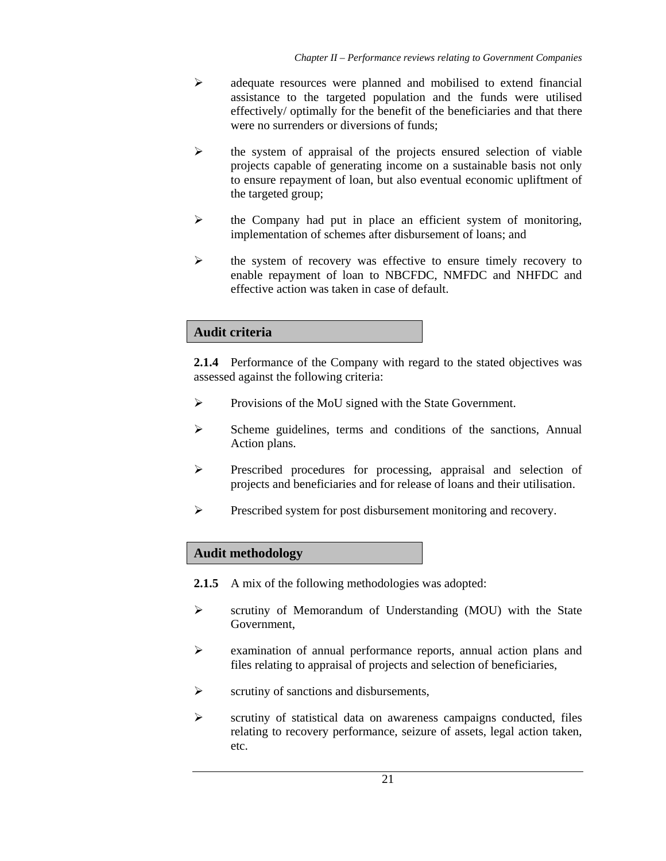- $\triangleright$  adequate resources were planned and mobilised to extend financial assistance to the targeted population and the funds were utilised effectively/ optimally for the benefit of the beneficiaries and that there were no surrenders or diversions of funds;
- $\triangleright$  the system of appraisal of the projects ensured selection of viable projects capable of generating income on a sustainable basis not only to ensure repayment of loan, but also eventual economic upliftment of the targeted group;
- $\triangleright$  the Company had put in place an efficient system of monitoring, implementation of schemes after disbursement of loans; and
- ¾ the system of recovery was effective to ensure timely recovery to enable repayment of loan to NBCFDC, NMFDC and NHFDC and effective action was taken in case of default.

# **Audit criteria**

**2.1.4** Performance of the Company with regard to the stated objectives was assessed against the following criteria:

- ¾ Provisions of the MoU signed with the State Government.
- ¾ Scheme guidelines, terms and conditions of the sanctions, Annual Action plans.
- ¾ Prescribed procedures for processing, appraisal and selection of projects and beneficiaries and for release of loans and their utilisation.
- ¾ Prescribed system for post disbursement monitoring and recovery.

# **Audit methodology**

- **2.1.5** A mix of the following methodologies was adopted:
- ¾ scrutiny of Memorandum of Understanding (MOU) with the State Government,
- $\triangleright$  examination of annual performance reports, annual action plans and files relating to appraisal of projects and selection of beneficiaries,
- $\triangleright$  scrutiny of sanctions and disbursements,
- ¾ scrutiny of statistical data on awareness campaigns conducted, files relating to recovery performance, seizure of assets, legal action taken, etc.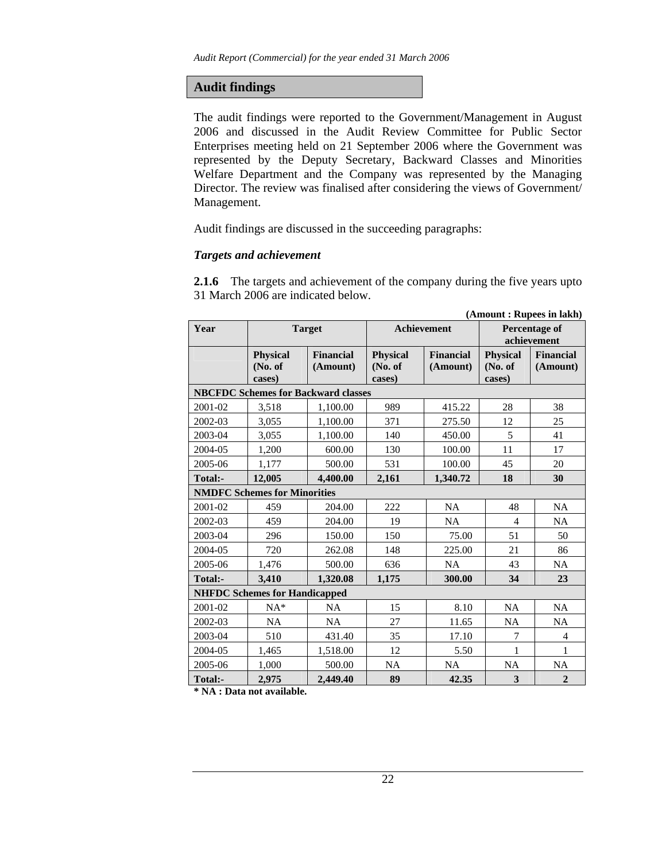## **Audit findings**

The audit findings were reported to the Government/Management in August 2006 and discussed in the Audit Review Committee for Public Sector Enterprises meeting held on 21 September 2006 where the Government was represented by the Deputy Secretary, Backward Classes and Minorities Welfare Department and the Company was represented by the Managing Director. The review was finalised after considering the views of Government/ Management.

Audit findings are discussed in the succeeding paragraphs:

#### *Targets and achievement*

**2.1.6** The targets and achievement of the company during the five years upto 31 March 2006 are indicated below.

|                | (Amount: Rupees in lakh)                   |                              |                                      |                              |                                     |                              |  |  |  |  |
|----------------|--------------------------------------------|------------------------------|--------------------------------------|------------------------------|-------------------------------------|------------------------------|--|--|--|--|
| Year           |                                            | <b>Target</b>                | <b>Achievement</b>                   |                              | Percentage of<br>achievement        |                              |  |  |  |  |
|                | <b>Physical</b><br>No. of<br>cases)        | <b>Financial</b><br>(Amount) | <b>Physical</b><br>(No. of<br>cases) | <b>Financial</b><br>(Amount) | <b>Physical</b><br>No. of<br>cases) | <b>Financial</b><br>(Amount) |  |  |  |  |
|                | <b>NBCFDC Schemes for Backward classes</b> |                              |                                      |                              |                                     |                              |  |  |  |  |
| 2001-02        | 3,518                                      | 1,100.00                     | 989                                  | 415.22                       | 28                                  | 38                           |  |  |  |  |
| 2002-03        | 3,055                                      | 1,100.00                     | 371                                  | 275.50                       | 12                                  | 25                           |  |  |  |  |
| 2003-04        | 3,055                                      | 1,100.00                     | 140                                  | 450.00                       | 5                                   | 41                           |  |  |  |  |
| 2004-05        | 1,200                                      | 600.00                       | 130                                  | 100.00                       | 11                                  | 17                           |  |  |  |  |
| 2005-06        | 1,177                                      | 500.00                       | 531                                  | 100.00                       | 45                                  | 20                           |  |  |  |  |
| <b>Total:-</b> | 12,005                                     | 4,400.00                     | 2,161                                | 1,340.72                     | 18                                  | 30                           |  |  |  |  |
|                | <b>NMDFC Schemes for Minorities</b>        |                              |                                      |                              |                                     |                              |  |  |  |  |
| 2001-02        | 459                                        | 204.00                       | 222                                  | <b>NA</b>                    | 48                                  | <b>NA</b>                    |  |  |  |  |
| 2002-03        | 459                                        | 204.00                       | 19                                   | <b>NA</b>                    | $\overline{4}$                      | <b>NA</b>                    |  |  |  |  |
| 2003-04        | 296                                        | 150.00                       | 150                                  | 75.00                        | 51                                  | 50                           |  |  |  |  |
| 2004-05        | 720                                        | 262.08                       | 148                                  | 225.00                       | 21                                  | 86                           |  |  |  |  |
| 2005-06        | 1,476                                      | 500.00                       | 636                                  | <b>NA</b>                    | 43                                  | <b>NA</b>                    |  |  |  |  |
| <b>Total:-</b> | 3,410                                      | 1,320.08                     | 1,175                                | 300.00                       | 34                                  | 23                           |  |  |  |  |
|                | <b>NHFDC Schemes for Handicapped</b>       |                              |                                      |                              |                                     |                              |  |  |  |  |
| 2001-02        | $NA*$                                      | <b>NA</b>                    | 15                                   | 8.10                         | <b>NA</b>                           | <b>NA</b>                    |  |  |  |  |
| 2002-03        | <b>NA</b>                                  | <b>NA</b>                    | 27                                   | 11.65                        | NA                                  | <b>NA</b>                    |  |  |  |  |
| 2003-04        | 510                                        | 431.40                       | 35                                   | 17.10                        | 7                                   | $\overline{4}$               |  |  |  |  |
| 2004-05        | 1,465                                      | 1,518.00                     | 12                                   | 5.50                         | 1                                   | 1                            |  |  |  |  |
| 2005-06        | 1,000                                      | 500.00                       | <b>NA</b>                            | <b>NA</b>                    | NA                                  | <b>NA</b>                    |  |  |  |  |
| Total:-        | 2.975                                      | 2,449.40                     | 89                                   | 42.35                        | 3                                   | $\overline{2}$               |  |  |  |  |

**\* NA : Data not available.**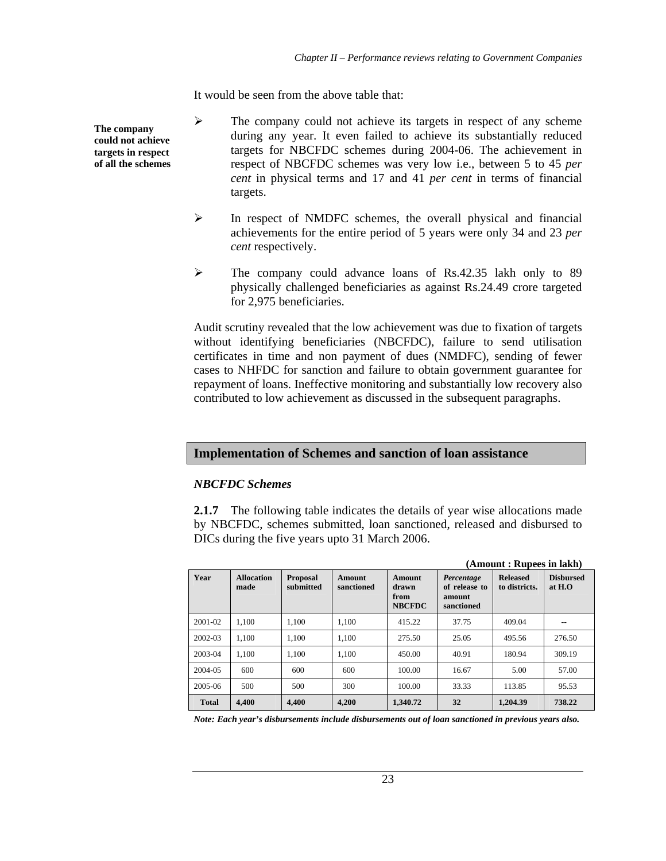It would be seen from the above table that:

**The company could not achieve targets in respect of all the schemes** 

- $\triangleright$  The company could not achieve its targets in respect of any scheme during any year. It even failed to achieve its substantially reduced targets for NBCFDC schemes during 2004-06. The achievement in respect of NBCFDC schemes was very low i.e., between 5 to 45 *per cent* in physical terms and 17 and 41 *per cent* in terms of financial targets.
- ¾ In respect of NMDFC schemes, the overall physical and financial achievements for the entire period of 5 years were only 34 and 23 *per cent* respectively.
- ¾ The company could advance loans of Rs.42.35 lakh only to 89 physically challenged beneficiaries as against Rs.24.49 crore targeted for 2,975 beneficiaries.

Audit scrutiny revealed that the low achievement was due to fixation of targets without identifying beneficiaries (NBCFDC), failure to send utilisation certificates in time and non payment of dues (NMDFC), sending of fewer cases to NHFDC for sanction and failure to obtain government guarantee for repayment of loans. Ineffective monitoring and substantially low recovery also contributed to low achievement as discussed in the subsequent paragraphs.

# **Implementation of Schemes and sanction of loan assistance**

## *NBCFDC Schemes*

**2.1.7** The following table indicates the details of year wise allocations made by NBCFDC, schemes submitted, loan sanctioned, released and disbursed to DICs during the five years upto 31 March 2006.

|              | (Amount: Rupees in lakh)  |                              |                      |                                                 |                                                     |                                  |                            |  |  |
|--------------|---------------------------|------------------------------|----------------------|-------------------------------------------------|-----------------------------------------------------|----------------------------------|----------------------------|--|--|
| Year         | <b>Allocation</b><br>made | <b>Proposal</b><br>submitted | Amount<br>sanctioned | <b>Amount</b><br>drawn<br>from<br><b>NBCFDC</b> | Percentage<br>of release to<br>amount<br>sanctioned | <b>Released</b><br>to districts. | <b>Disbursed</b><br>at H.O |  |  |
| 2001-02      | 1.100                     | 1.100                        | 1.100                | 415.22                                          | 37.75                                               | 409.04                           |                            |  |  |
| 2002-03      | 1.100                     | 1.100                        | 1.100                | 275.50                                          | 25.05                                               | 495.56                           | 276.50                     |  |  |
| 2003-04      | 1.100                     | 1.100                        | 1.100                | 450.00                                          | 40.91                                               | 180.94                           | 309.19                     |  |  |
| 2004-05      | 600                       | 600                          | 600                  | 100.00                                          | 16.67                                               | 5.00                             | 57.00                      |  |  |
| 2005-06      | 500                       | 500                          | 300                  | 100.00                                          | 33.33                                               | 113.85                           | 95.53                      |  |  |
| <b>Total</b> | 4,400                     | 4,400                        | 4,200                | 1,340.72                                        | 32                                                  | 1,204.39                         | 738.22                     |  |  |

*Note: Each year's disbursements include disbursements out of loan sanctioned in previous years also.*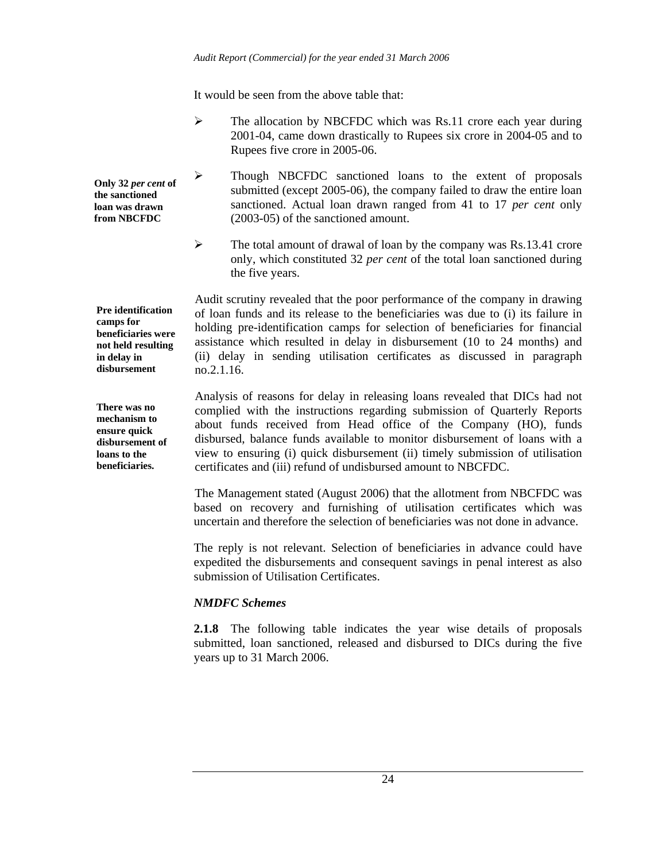It would be seen from the above table that:

 $\triangleright$  The allocation by NBCFDC which was Rs.11 crore each year during 2001-04, came down drastically to Rupees six crore in 2004-05 and to Rupees five crore in 2005-06.

¾ Though NBCFDC sanctioned loans to the extent of proposals submitted (except 2005-06), the company failed to draw the entire loan sanctioned. Actual loan drawn ranged from 41 to 17 *per cent* only (2003-05) of the sanctioned amount. **Only 32** *per cent* **of the sanctioned loan was drawn from NBCFDC** 

> $\triangleright$  The total amount of drawal of loan by the company was Rs.13.41 crore only, which constituted 32 *per cent* of the total loan sanctioned during the five years.

> Audit scrutiny revealed that the poor performance of the company in drawing of loan funds and its release to the beneficiaries was due to (i) its failure in holding pre-identification camps for selection of beneficiaries for financial assistance which resulted in delay in disbursement (10 to 24 months) and (ii) delay in sending utilisation certificates as discussed in paragraph no.2.1.16.

**beneficiaries were not held resulting in delay in disbursement** 

**Pre identification camps for** 

**There was no mechanism to ensure quick disbursement of loans to the beneficiaries.** 

Analysis of reasons for delay in releasing loans revealed that DICs had not complied with the instructions regarding submission of Quarterly Reports about funds received from Head office of the Company (HO), funds disbursed, balance funds available to monitor disbursement of loans with a view to ensuring (i) quick disbursement (ii) timely submission of utilisation certificates and (iii) refund of undisbursed amount to NBCFDC.

The Management stated (August 2006) that the allotment from NBCFDC was based on recovery and furnishing of utilisation certificates which was uncertain and therefore the selection of beneficiaries was not done in advance.

The reply is not relevant. Selection of beneficiaries in advance could have expedited the disbursements and consequent savings in penal interest as also submission of Utilisation Certificates.

# *NMDFC Schemes*

**2.1.8** The following table indicates the year wise details of proposals submitted, loan sanctioned, released and disbursed to DICs during the five years up to 31 March 2006.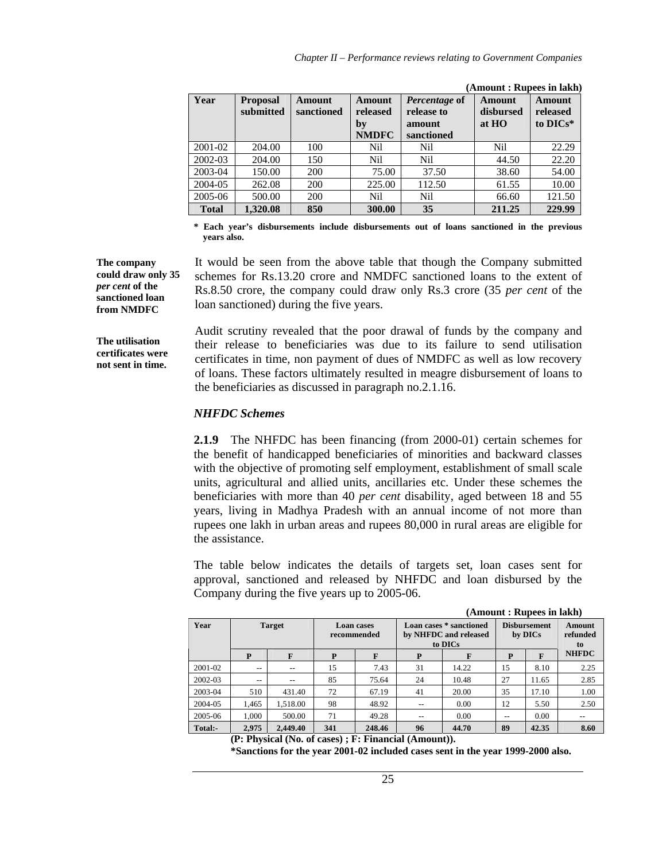| Year         | <b>Proposal</b><br>submitted | Amount<br>sanctioned | Amount<br>released<br>by<br><b>NMDFC</b> | <i>Percentage</i> of<br>release to<br>amount<br>sanctioned | Amount<br>disbursed<br>at HO | Amount<br>released<br>to DICs* |
|--------------|------------------------------|----------------------|------------------------------------------|------------------------------------------------------------|------------------------------|--------------------------------|
| 2001-02      | 204.00                       | 100                  | Nil                                      | Nil                                                        | Nil                          | 22.29                          |
| 2002-03      | 204.00                       | 150                  | N <sub>il</sub>                          | Nil.                                                       | 44.50                        | 22.20                          |
| 2003-04      | 150.00                       | 200                  | 75.00                                    | 37.50                                                      | 38.60                        | 54.00                          |
| 2004-05      | 262.08                       | 200                  | 225.00                                   | 112.50                                                     | 61.55                        | 10.00                          |
| 2005-06      | 500.00                       | 200                  | N <sub>il</sub>                          | Nil                                                        | 66.60                        | 121.50                         |
| <b>Total</b> | 1,320.08                     | 850                  | 300.00                                   | 35                                                         | 211.25                       | 229.99                         |

 **(Amount : Rupees in lakh)** 

**\* Each year's disbursements include disbursements out of loans sanctioned in the previous years also.** 

It would be seen from the above table that though the Company submitted schemes for Rs.13.20 crore and NMDFC sanctioned loans to the extent of Rs.8.50 crore, the company could draw only Rs.3 crore (35 *per cent* of the loan sanctioned) during the five years.

**The utilisation certificates were not sent in time.** 

**The company could draw only 35**  *per cent* **of the sanctioned loan from NMDFC** 

> Audit scrutiny revealed that the poor drawal of funds by the company and their release to beneficiaries was due to its failure to send utilisation certificates in time, non payment of dues of NMDFC as well as low recovery of loans. These factors ultimately resulted in meagre disbursement of loans to the beneficiaries as discussed in paragraph no.2.1.16.

### *NHFDC Schemes*

**2.1.9** The NHFDC has been financing (from 2000-01) certain schemes for the benefit of handicapped beneficiaries of minorities and backward classes with the objective of promoting self employment, establishment of small scale units, agricultural and allied units, ancillaries etc. Under these schemes the beneficiaries with more than 40 *per cent* disability, aged between 18 and 55 years, living in Madhya Pradesh with an annual income of not more than rupees one lakh in urban areas and rupees 80,000 in rural areas are eligible for the assistance.

The table below indicates the details of targets set, loan cases sent for approval, sanctioned and released by NHFDC and loan disbursed by the Company during the five years up to 2005-06.

|         | Amount : Rubees in lakn) |                                                                          |                                  |        |                                                             |       |                                |       |                          |
|---------|--------------------------|--------------------------------------------------------------------------|----------------------------------|--------|-------------------------------------------------------------|-------|--------------------------------|-------|--------------------------|
| Year    | <b>Target</b>            |                                                                          | <b>Loan cases</b><br>recommended |        | Loan cases * sanctioned<br>by NHFDC and released<br>to DICs |       | <b>Disbursement</b><br>by DICs |       | Amount<br>refunded<br>to |
|         | P                        | F                                                                        | P                                | F      | P                                                           | F     | P                              | F     | <b>NHFDC</b>             |
| 2001-02 | $- -$                    | --                                                                       | 15                               | 7.43   | 31                                                          | 14.22 | 15                             | 8.10  | 2.25                     |
| 2002-03 | --                       | --                                                                       | 85                               | 75.64  | 24                                                          | 10.48 | 27                             | 11.65 | 2.85                     |
| 2003-04 | 510                      | 431.40                                                                   | 72                               | 67.19  | 41                                                          | 20.00 | 35                             | 17.10 | 1.00                     |
| 2004-05 | 1.465                    | 1.518.00                                                                 | 98                               | 48.92  | --                                                          | 0.00  | 12                             | 5.50  | 2.50                     |
| 2005-06 | 1.000                    | 500.00                                                                   | 71                               | 49.28  |                                                             | 0.00  | --                             | 0.00  |                          |
| Total:- | 2,975                    | 2,449.40                                                                 | 341                              | 248.46 | 96                                                          | 44.70 | 89                             | 42.35 | 8.60                     |
|         |                          | $(D, D), \ldots$ , $(D, D)$ $(D, D)$ $(D, D)$ $(D, D)$ $(D, D)$ $(D, D)$ |                                  |        |                                                             |       |                                |       |                          |

 **(Amount : Rupees in lakh)** 

 **(P: Physical (No. of cases) ; F: Financial (Amount)).** 

 **\*Sanctions for the year 2001-02 included cases sent in the year 1999-2000 also.**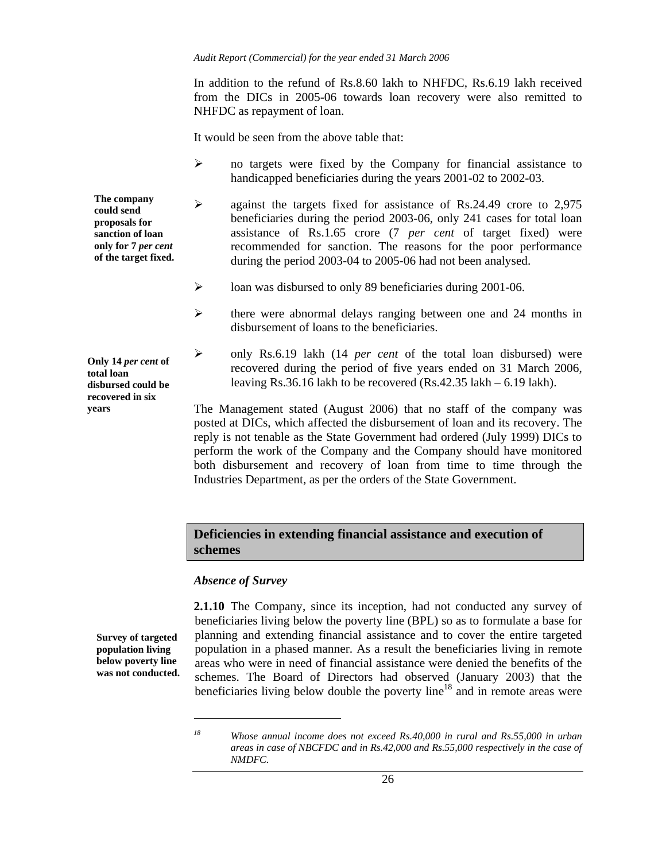In addition to the refund of Rs.8.60 lakh to NHFDC, Rs.6.19 lakh received from the DICs in 2005-06 towards loan recovery were also remitted to NHFDC as repayment of loan.

It would be seen from the above table that:

- $\triangleright$  no targets were fixed by the Company for financial assistance to handicapped beneficiaries during the years 2001-02 to 2002-03.
- $\geq$  against the targets fixed for assistance of Rs. 24.49 crore to 2,975 beneficiaries during the period 2003-06, only 241 cases for total loan assistance of Rs.1.65 crore (7 *per cent* of target fixed) were recommended for sanction. The reasons for the poor performance during the period 2003-04 to 2005-06 had not been analysed.
	- ¾ loan was disbursed to only 89 beneficiaries during 2001-06.
	- $\triangleright$  there were abnormal delays ranging between one and 24 months in disbursement of loans to the beneficiaries.
	- ¾ only Rs.6.19 lakh (14 *per cent* of the total loan disbursed) were recovered during the period of five years ended on 31 March 2006, leaving Rs.36.16 lakh to be recovered (Rs.42.35 lakh – 6.19 lakh).

The Management stated (August 2006) that no staff of the company was posted at DICs, which affected the disbursement of loan and its recovery. The reply is not tenable as the State Government had ordered (July 1999) DICs to perform the work of the Company and the Company should have monitored both disbursement and recovery of loan from time to time through the Industries Department, as per the orders of the State Government.

# **Deficiencies in extending financial assistance and execution of schemes**

## *Absence of Survey*

 $\overline{a}$ 

**2.1.10** The Company, since its inception, had not conducted any survey of beneficiaries living below the poverty line (BPL) so as to formulate a base for planning and extending financial assistance and to cover the entire targeted population in a phased manner. As a result the beneficiaries living in remote areas who were in need of financial assistance were denied the benefits of the schemes. The Board of Directors had observed (January 2003) that the beneficiaries living below double the poverty line<sup>18</sup> and in remote areas were

**The company could send proposals for sanction of loan only for 7** *per cent* **of the target fixed.** 

**Only 14** *per cent* **of total loan disbursed could be recovered in six years** 

> **Survey of targeted population living below poverty line was not conducted.**

*<sup>18</sup> Whose annual income does not exceed Rs.40,000 in rural and Rs.55,000 in urban areas in case of NBCFDC and in Rs.42,000 and Rs.55,000 respectively in the case of NMDFC.*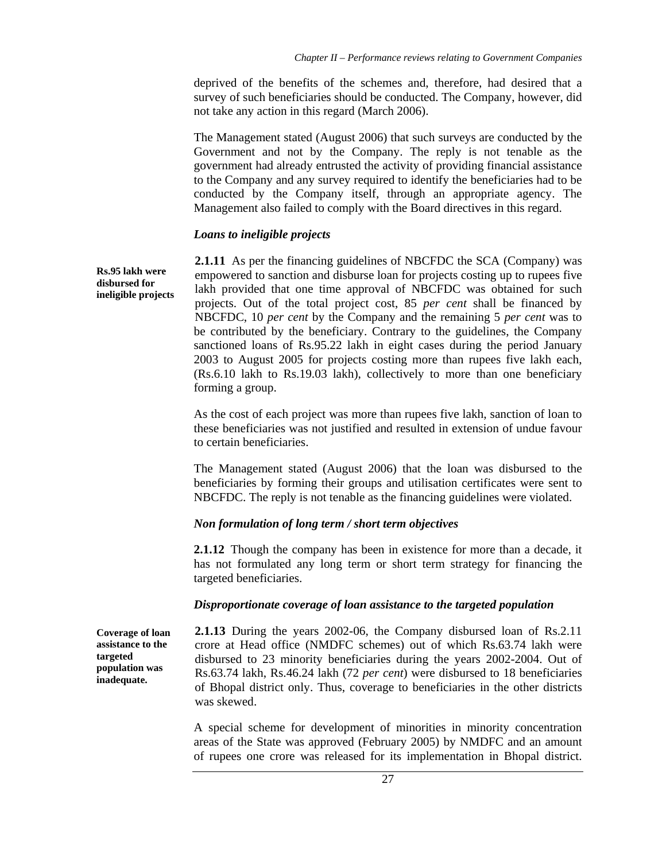deprived of the benefits of the schemes and, therefore, had desired that a survey of such beneficiaries should be conducted. The Company, however, did not take any action in this regard (March 2006).

The Management stated (August 2006) that such surveys are conducted by the Government and not by the Company. The reply is not tenable as the government had already entrusted the activity of providing financial assistance to the Company and any survey required to identify the beneficiaries had to be conducted by the Company itself, through an appropriate agency. The Management also failed to comply with the Board directives in this regard.

## *Loans to ineligible projects*

**Rs.95 lakh were disbursed for ineligible projects** 

**2.1.11** As per the financing guidelines of NBCFDC the SCA (Company) was empowered to sanction and disburse loan for projects costing up to rupees five lakh provided that one time approval of NBCFDC was obtained for such projects. Out of the total project cost, 85 *per cent* shall be financed by NBCFDC, 10 *per cent* by the Company and the remaining 5 *per cent* was to be contributed by the beneficiary. Contrary to the guidelines, the Company sanctioned loans of Rs.95.22 lakh in eight cases during the period January 2003 to August 2005 for projects costing more than rupees five lakh each, (Rs.6.10 lakh to Rs.19.03 lakh), collectively to more than one beneficiary forming a group.

As the cost of each project was more than rupees five lakh, sanction of loan to these beneficiaries was not justified and resulted in extension of undue favour to certain beneficiaries.

The Management stated (August 2006) that the loan was disbursed to the beneficiaries by forming their groups and utilisation certificates were sent to NBCFDC. The reply is not tenable as the financing guidelines were violated.

# *Non formulation of long term / short term objectives*

**2.1.12** Though the company has been in existence for more than a decade, it has not formulated any long term or short term strategy for financing the targeted beneficiaries.

## *Disproportionate coverage of loan assistance to the targeted population*

**2.1.13** During the years 2002-06, the Company disbursed loan of Rs.2.11 crore at Head office (NMDFC schemes) out of which Rs.63.74 lakh were disbursed to 23 minority beneficiaries during the years 2002-2004. Out of Rs.63.74 lakh, Rs.46.24 lakh (72 *per cent*) were disbursed to 18 beneficiaries of Bhopal district only. Thus, coverage to beneficiaries in the other districts was skewed.

A special scheme for development of minorities in minority concentration areas of the State was approved (February 2005) by NMDFC and an amount of rupees one crore was released for its implementation in Bhopal district.

**Coverage of loan assistance to the targeted population was inadequate.**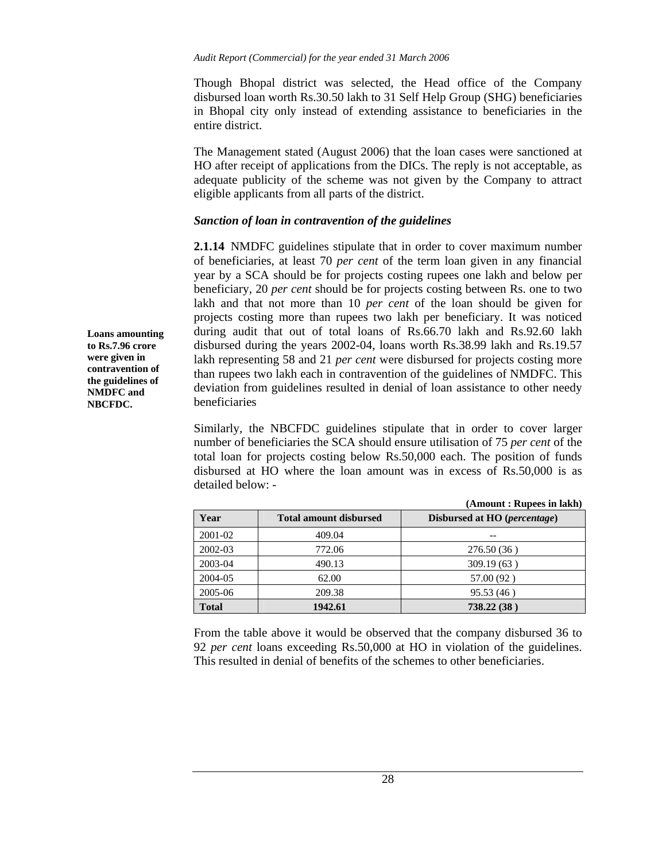Though Bhopal district was selected, the Head office of the Company disbursed loan worth Rs.30.50 lakh to 31 Self Help Group (SHG) beneficiaries in Bhopal city only instead of extending assistance to beneficiaries in the entire district.

The Management stated (August 2006) that the loan cases were sanctioned at HO after receipt of applications from the DICs. The reply is not acceptable, as adequate publicity of the scheme was not given by the Company to attract eligible applicants from all parts of the district.

## *Sanction of loan in contravention of the guidelines*

**2.1.14** NMDFC guidelines stipulate that in order to cover maximum number of beneficiaries, at least 70 *per cent* of the term loan given in any financial year by a SCA should be for projects costing rupees one lakh and below per beneficiary, 20 *per cent* should be for projects costing between Rs. one to two lakh and that not more than 10 *per cent* of the loan should be given for projects costing more than rupees two lakh per beneficiary. It was noticed during audit that out of total loans of Rs.66.70 lakh and Rs.92.60 lakh disbursed during the years 2002-04, loans worth Rs.38.99 lakh and Rs.19.57 lakh representing 58 and 21 *per cent* were disbursed for projects costing more than rupees two lakh each in contravention of the guidelines of NMDFC. This deviation from guidelines resulted in denial of loan assistance to other needy beneficiaries

Similarly, the NBCFDC guidelines stipulate that in order to cover larger number of beneficiaries the SCA should ensure utilisation of 75 *per cent* of the total loan for projects costing below Rs.50,000 each. The position of funds disbursed at HO where the loan amount was in excess of Rs.50,000 is as detailed below: -

|              |                               | (Amount: Rupees in lakh)              |
|--------------|-------------------------------|---------------------------------------|
| Year         | <b>Total amount disbursed</b> | Disbursed at HO ( <i>percentage</i> ) |
| 2001-02      | 409.04                        |                                       |
| 2002-03      | 772.06                        | 276.50(36)                            |
| 2003-04      | 490.13                        | 309.19(63)                            |
| 2004-05      | 62.00                         | 57.00 (92)                            |
| 2005-06      | 209.38                        | 95.53(46)                             |
| <b>Total</b> | 1942.61                       | 738.22 (38)                           |

From the table above it would be observed that the company disbursed 36 to 92 *per cent* loans exceeding Rs.50,000 at HO in violation of the guidelines. This resulted in denial of benefits of the schemes to other beneficiaries.

**Loans amounting to Rs.7.96 crore were given in contravention of the guidelines of NMDFC and NBCFDC.**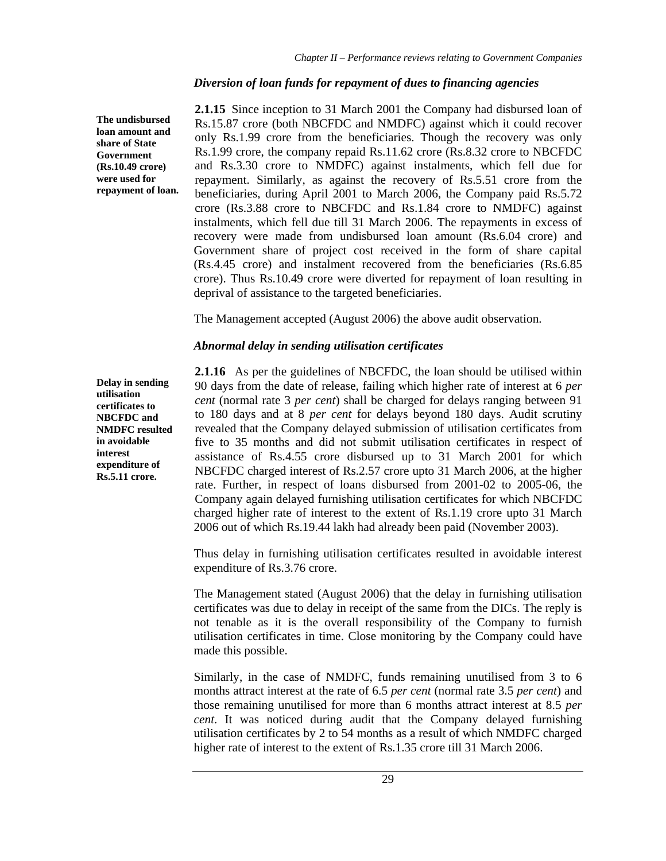## *Diversion of loan funds for repayment of dues to financing agencies*

**The undisbursed loan amount and share of State Government (Rs.10.49 crore) were used for repayment of loan.** 

**2.1.15** Since inception to 31 March 2001 the Company had disbursed loan of Rs.15.87 crore (both NBCFDC and NMDFC) against which it could recover only Rs.1.99 crore from the beneficiaries. Though the recovery was only Rs.1.99 crore, the company repaid Rs.11.62 crore (Rs.8.32 crore to NBCFDC and Rs.3.30 crore to NMDFC) against instalments, which fell due for repayment. Similarly, as against the recovery of Rs.5.51 crore from the beneficiaries, during April 2001 to March 2006, the Company paid Rs.5.72 crore (Rs.3.88 crore to NBCFDC and Rs.1.84 crore to NMDFC) against instalments, which fell due till 31 March 2006. The repayments in excess of recovery were made from undisbursed loan amount (Rs.6.04 crore) and Government share of project cost received in the form of share capital (Rs.4.45 crore) and instalment recovered from the beneficiaries (Rs.6.85 crore). Thus Rs.10.49 crore were diverted for repayment of loan resulting in deprival of assistance to the targeted beneficiaries.

The Management accepted (August 2006) the above audit observation.

## *Abnormal delay in sending utilisation certificates*

**2.1.16** As per the guidelines of NBCFDC, the loan should be utilised within 90 days from the date of release, failing which higher rate of interest at 6 *per cent* (normal rate 3 *per cent*) shall be charged for delays ranging between 91 to 180 days and at 8 *per cent* for delays beyond 180 days. Audit scrutiny revealed that the Company delayed submission of utilisation certificates from five to 35 months and did not submit utilisation certificates in respect of assistance of Rs.4.55 crore disbursed up to 31 March 2001 for which NBCFDC charged interest of Rs.2.57 crore upto 31 March 2006, at the higher rate. Further, in respect of loans disbursed from 2001-02 to 2005-06, the Company again delayed furnishing utilisation certificates for which NBCFDC charged higher rate of interest to the extent of Rs.1.19 crore upto 31 March 2006 out of which Rs.19.44 lakh had already been paid (November 2003).

Thus delay in furnishing utilisation certificates resulted in avoidable interest expenditure of Rs.3.76 crore.

The Management stated (August 2006) that the delay in furnishing utilisation certificates was due to delay in receipt of the same from the DICs. The reply is not tenable as it is the overall responsibility of the Company to furnish utilisation certificates in time. Close monitoring by the Company could have made this possible.

Similarly, in the case of NMDFC, funds remaining unutilised from 3 to 6 months attract interest at the rate of 6.5 *per cent* (normal rate 3.5 *per cent*) and those remaining unutilised for more than 6 months attract interest at 8.5 *per cent*. It was noticed during audit that the Company delayed furnishing utilisation certificates by 2 to 54 months as a result of which NMDFC charged higher rate of interest to the extent of Rs.1.35 crore till 31 March 2006.

**Delay in sending utilisation certificates to NBCFDC and NMDFC resulted in avoidable interest expenditure of Rs.5.11 crore.**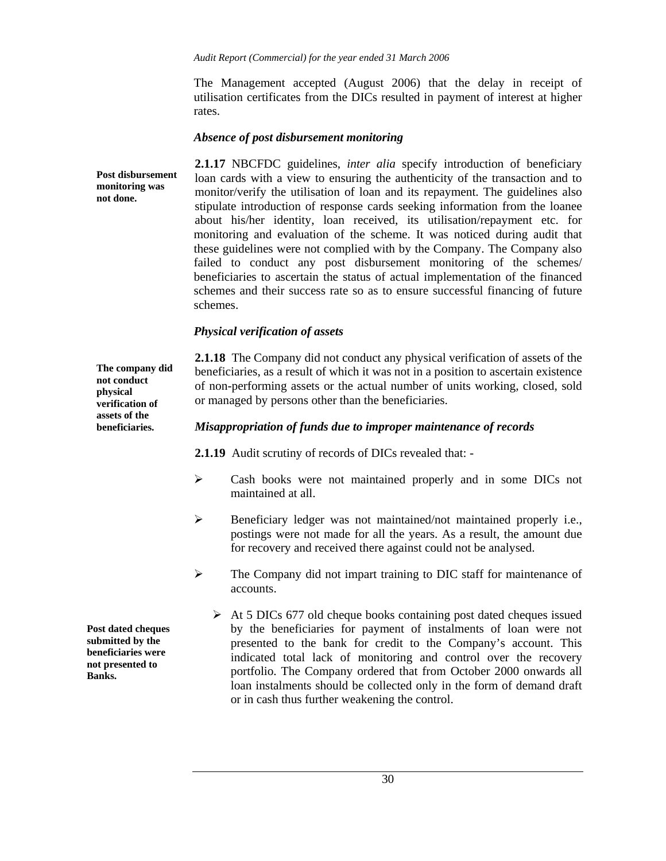The Management accepted (August 2006) that the delay in receipt of utilisation certificates from the DICs resulted in payment of interest at higher rates.

### *Absence of post disbursement monitoring*

**2.1.17** NBCFDC guidelines, *inter alia* specify introduction of beneficiary loan cards with a view to ensuring the authenticity of the transaction and to monitor/verify the utilisation of loan and its repayment. The guidelines also stipulate introduction of response cards seeking information from the loanee about his/her identity, loan received, its utilisation/repayment etc. for monitoring and evaluation of the scheme. It was noticed during audit that these guidelines were not complied with by the Company. The Company also failed to conduct any post disbursement monitoring of the schemes/ beneficiaries to ascertain the status of actual implementation of the financed schemes and their success rate so as to ensure successful financing of future schemes. **Post disbursement monitoring was not done.** 

## *Physical verification of assets*

**The company did not conduct physical verification of assets of the beneficiaries.** 

**2.1.18** The Company did not conduct any physical verification of assets of the beneficiaries, as a result of which it was not in a position to ascertain existence of non-performing assets or the actual number of units working, closed, sold or managed by persons other than the beneficiaries.

### *Misappropriation of funds due to improper maintenance of records*

**2.1.19** Audit scrutiny of records of DICs revealed that: -

- $\triangleright$  Cash books were not maintained properly and in some DICs not maintained at all.
- ¾ Beneficiary ledger was not maintained/not maintained properly i.e., postings were not made for all the years. As a result, the amount due for recovery and received there against could not be analysed.
- ¾ The Company did not impart training to DIC staff for maintenance of accounts.
	- $\triangleright$  At 5 DICs 677 old cheque books containing post dated cheques issued by the beneficiaries for payment of instalments of loan were not presented to the bank for credit to the Company's account. This indicated total lack of monitoring and control over the recovery portfolio. The Company ordered that from October 2000 onwards all loan instalments should be collected only in the form of demand draft or in cash thus further weakening the control.

**Post dated cheques submitted by the beneficiaries were not presented to Banks.**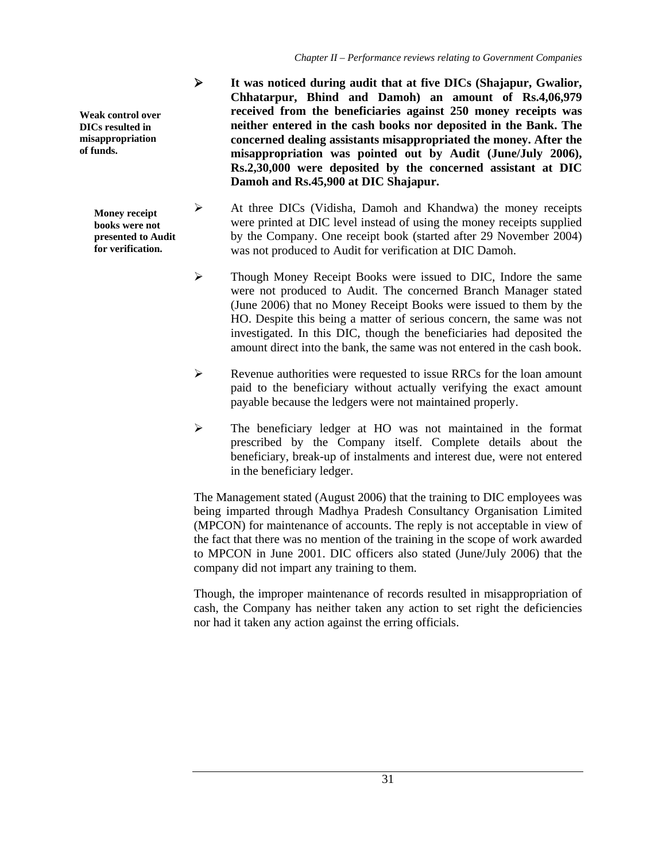**Weak control over DICs resulted in misappropriation of funds.** 

> **Money receipt books were not presented to Audit for verification.**

- ¾ **It was noticed during audit that at five DICs (Shajapur, Gwalior, Chhatarpur, Bhind and Damoh) an amount of Rs.4,06,979 received from the beneficiaries against 250 money receipts was neither entered in the cash books nor deposited in the Bank. The concerned dealing assistants misappropriated the money. After the misappropriation was pointed out by Audit (June/July 2006), Rs.2,30,000 were deposited by the concerned assistant at DIC Damoh and Rs.45,900 at DIC Shajapur.**
- ¾ At three DICs (Vidisha, Damoh and Khandwa) the money receipts were printed at DIC level instead of using the money receipts supplied by the Company. One receipt book (started after 29 November 2004) was not produced to Audit for verification at DIC Damoh.
- ¾ Though Money Receipt Books were issued to DIC, Indore the same were not produced to Audit. The concerned Branch Manager stated (June 2006) that no Money Receipt Books were issued to them by the HO. Despite this being a matter of serious concern, the same was not investigated. In this DIC, though the beneficiaries had deposited the amount direct into the bank, the same was not entered in the cash book.
- ¾ Revenue authorities were requested to issue RRCs for the loan amount paid to the beneficiary without actually verifying the exact amount payable because the ledgers were not maintained properly.
- ¾ The beneficiary ledger at HO was not maintained in the format prescribed by the Company itself. Complete details about the beneficiary, break-up of instalments and interest due, were not entered in the beneficiary ledger.

The Management stated (August 2006) that the training to DIC employees was being imparted through Madhya Pradesh Consultancy Organisation Limited (MPCON) for maintenance of accounts. The reply is not acceptable in view of the fact that there was no mention of the training in the scope of work awarded to MPCON in June 2001. DIC officers also stated (June/July 2006) that the company did not impart any training to them.

Though, the improper maintenance of records resulted in misappropriation of cash, the Company has neither taken any action to set right the deficiencies nor had it taken any action against the erring officials.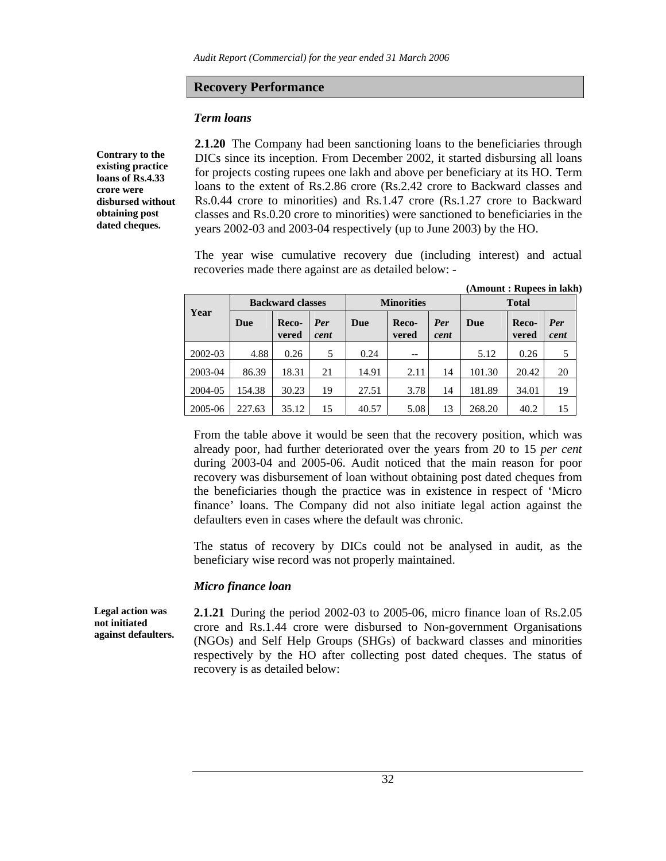## **Recovery Performance**

## *Term loans*

**Contrary to the existing practice loans of Rs.4.33 crore were disbursed without obtaining post dated cheques.** 

**2.1.20** The Company had been sanctioning loans to the beneficiaries through DICs since its inception. From December 2002, it started disbursing all loans for projects costing rupees one lakh and above per beneficiary at its HO. Term loans to the extent of Rs.2.86 crore (Rs.2.42 crore to Backward classes and Rs.0.44 crore to minorities) and Rs.1.47 crore (Rs.1.27 crore to Backward classes and Rs.0.20 crore to minorities) were sanctioned to beneficiaries in the years 2002-03 and 2003-04 respectively (up to June 2003) by the HO.

The year wise cumulative recovery due (including interest) and actual recoveries made there against are as detailed below: -

|         |                         |                |             |                   |                |             | (Amount: Rupees in lakh) |                |             |
|---------|-------------------------|----------------|-------------|-------------------|----------------|-------------|--------------------------|----------------|-------------|
|         | <b>Backward classes</b> |                |             | <b>Minorities</b> |                |             | <b>Total</b>             |                |             |
| Year    | Due                     | Reco-<br>vered | Per<br>cent | Due               | Reco-<br>vered | Per<br>cent | Due                      | Reco-<br>vered | Per<br>cent |
| 2002-03 | 4.88                    | 0.26           | 5           | 0.24              | --             |             | 5.12                     | 0.26           | 5           |
| 2003-04 | 86.39                   | 18.31          | 21          | 14.91             | 2.11           | 14          | 101.30                   | 20.42          | 20          |
| 2004-05 | 154.38                  | 30.23          | 19          | 27.51             | 3.78           | 14          | 181.89                   | 34.01          | 19          |
| 2005-06 | 227.63                  | 35.12          | 15          | 40.57             | 5.08           | 13          | 268.20                   | 40.2           | 15          |

From the table above it would be seen that the recovery position, which was already poor, had further deteriorated over the years from 20 to 15 *per cent*  during 2003-04 and 2005-06. Audit noticed that the main reason for poor recovery was disbursement of loan without obtaining post dated cheques from the beneficiaries though the practice was in existence in respect of 'Micro finance' loans. The Company did not also initiate legal action against the defaulters even in cases where the default was chronic.

The status of recovery by DICs could not be analysed in audit, as the beneficiary wise record was not properly maintained.

## *Micro finance loan*

**Legal action was not initiated against defaulters.** 

**2.1.21** During the period 2002-03 to 2005-06, micro finance loan of Rs.2.05 crore and Rs.1.44 crore were disbursed to Non-government Organisations (NGOs) and Self Help Groups (SHGs) of backward classes and minorities respectively by the HO after collecting post dated cheques. The status of recovery is as detailed below: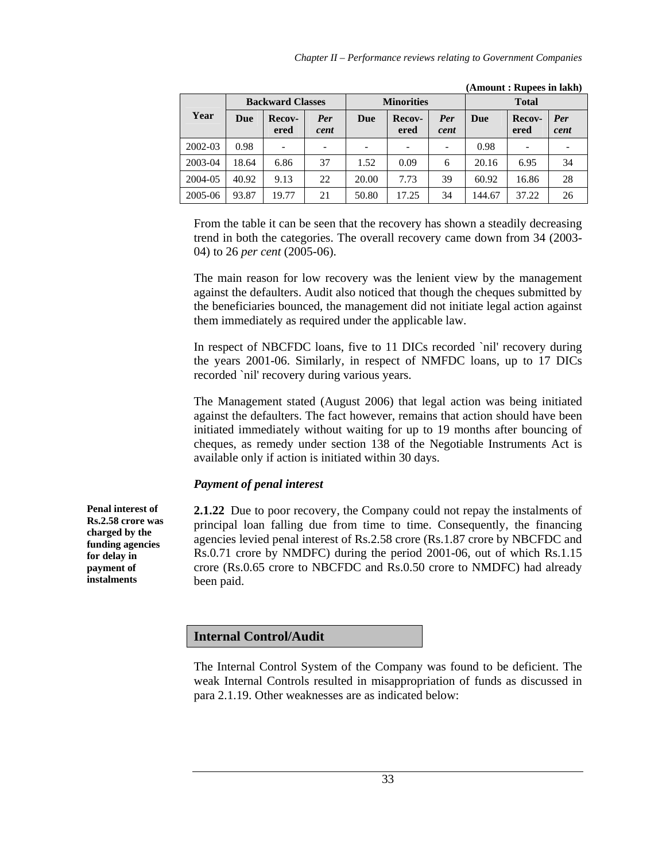|                         |       |                |                   |       |                       |              | (111110 u110 + 100pcc) 111 101111 |                |             |
|-------------------------|-------|----------------|-------------------|-------|-----------------------|--------------|-----------------------------------|----------------|-------------|
| <b>Backward Classes</b> |       |                | <b>Minorities</b> |       |                       | <b>Total</b> |                                   |                |             |
| Year                    | Due   | Recov-<br>ered | Per<br>cent       | Due   | <b>Recov-</b><br>ered | Per<br>cent  | Due                               | Recov-<br>ered | Per<br>cent |
| 2002-03                 | 0.98  |                |                   |       |                       |              | 0.98                              |                |             |
| 2003-04                 | 18.64 | 6.86           | 37                | 1.52  | 0.09                  | 6            | 20.16                             | 6.95           | 34          |
| 2004-05                 | 40.92 | 9.13           | 22                | 20.00 | 7.73                  | 39           | 60.92                             | 16.86          | 28          |
| 2005-06                 | 93.87 | 19.77          | 21                | 50.80 | 17.25                 | 34           | 144.67                            | 37.22          | 26          |

**(Amount : Rupees in lakh)** 

From the table it can be seen that the recovery has shown a steadily decreasing trend in both the categories. The overall recovery came down from 34 (2003- 04) to 26 *per cent* (2005-06).

The main reason for low recovery was the lenient view by the management against the defaulters. Audit also noticed that though the cheques submitted by the beneficiaries bounced, the management did not initiate legal action against them immediately as required under the applicable law.

In respect of NBCFDC loans, five to 11 DICs recorded `nil' recovery during the years 2001-06. Similarly, in respect of NMFDC loans, up to 17 DICs recorded `nil' recovery during various years.

The Management stated (August 2006) that legal action was being initiated against the defaulters. The fact however, remains that action should have been initiated immediately without waiting for up to 19 months after bouncing of cheques, as remedy under section 138 of the Negotiable Instruments Act is available only if action is initiated within 30 days.

# *Payment of penal interest*

**2.1.22** Due to poor recovery, the Company could not repay the instalments of principal loan falling due from time to time. Consequently, the financing agencies levied penal interest of Rs.2.58 crore (Rs.1.87 crore by NBCFDC and Rs.0.71 crore by NMDFC) during the period 2001-06, out of which Rs.1.15 crore (Rs.0.65 crore to NBCFDC and Rs.0.50 crore to NMDFC) had already been paid.

# **Internal Control/Audit**

The Internal Control System of the Company was found to be deficient. The weak Internal Controls resulted in misappropriation of funds as discussed in para 2.1.19. Other weaknesses are as indicated below:

**Penal interest of Rs.2.58 crore was charged by the funding agencies for delay in payment of instalments**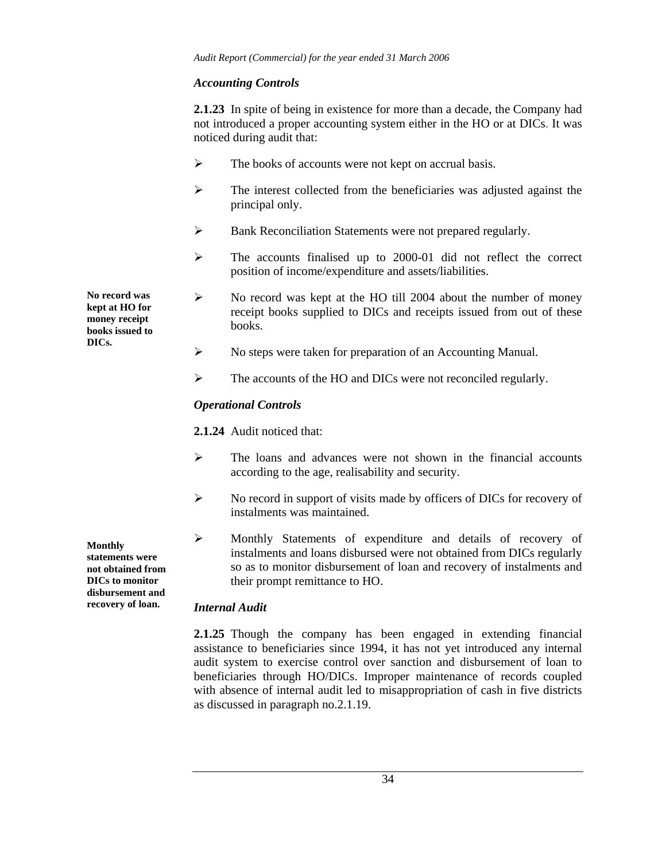## *Accounting Controls*

**2.1.23** In spite of being in existence for more than a decade, the Company had not introduced a proper accounting system either in the HO or at DICs. It was noticed during audit that:

- $\triangleright$  The books of accounts were not kept on accrual basis.
- $\triangleright$  The interest collected from the beneficiaries was adjusted against the principal only.
- ¾ Bank Reconciliation Statements were not prepared regularly.
- ¾ The accounts finalised up to 2000-01 did not reflect the correct position of income/expenditure and assets/liabilities.
- $\triangleright$  No record was kept at the HO till 2004 about the number of money receipt books supplied to DICs and receipts issued from out of these books.
- ¾ No steps were taken for preparation of an Accounting Manual.
- ¾ The accounts of the HO and DICs were not reconciled regularly.

## *Operational Controls*

**2.1.24** Audit noticed that:

- $\triangleright$  The loans and advances were not shown in the financial accounts according to the age, realisability and security.
- $\triangleright$  No record in support of visits made by officers of DICs for recovery of instalments was maintained.
- ¾ Monthly Statements of expenditure and details of recovery of instalments and loans disbursed were not obtained from DICs regularly so as to monitor disbursement of loan and recovery of instalments and their prompt remittance to HO.

## *Internal Audit*

**2.1.25** Though the company has been engaged in extending financial assistance to beneficiaries since 1994, it has not yet introduced any internal audit system to exercise control over sanction and disbursement of loan to beneficiaries through HO/DICs. Improper maintenance of records coupled with absence of internal audit led to misappropriation of cash in five districts as discussed in paragraph no.2.1.19.

**kept at HO for money receipt books issued to DICs.** 

**No record was** 

**Monthly statements were not obtained from DICs to monitor disbursement and recovery of loan.**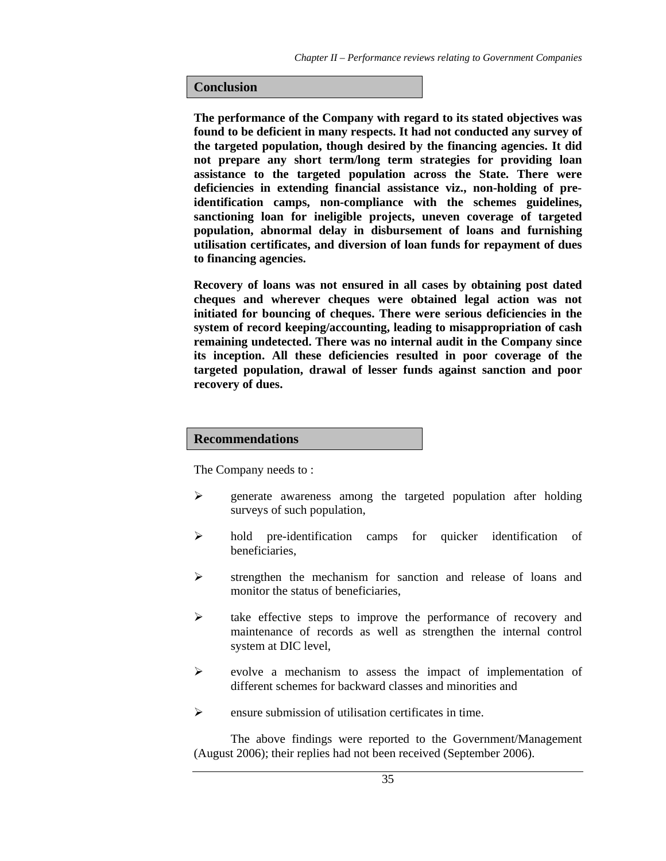### **Conclusion**

**The performance of the Company with regard to its stated objectives was found to be deficient in many respects. It had not conducted any survey of the targeted population, though desired by the financing agencies. It did not prepare any short term/long term strategies for providing loan assistance to the targeted population across the State. There were deficiencies in extending financial assistance viz., non-holding of preidentification camps, non-compliance with the schemes guidelines, sanctioning loan for ineligible projects, uneven coverage of targeted population, abnormal delay in disbursement of loans and furnishing utilisation certificates, and diversion of loan funds for repayment of dues to financing agencies.** 

**Recovery of loans was not ensured in all cases by obtaining post dated cheques and wherever cheques were obtained legal action was not initiated for bouncing of cheques. There were serious deficiencies in the system of record keeping/accounting, leading to misappropriation of cash remaining undetected. There was no internal audit in the Company since its inception. All these deficiencies resulted in poor coverage of the targeted population, drawal of lesser funds against sanction and poor recovery of dues.** 

## **Recommendations**

The Company needs to :

- ¾ generate awareness among the targeted population after holding surveys of such population,
- $\triangleright$  hold pre-identification camps for quicker identification of beneficiaries,
- $\triangleright$  strengthen the mechanism for sanction and release of loans and monitor the status of beneficiaries,
- ¾ take effective steps to improve the performance of recovery and maintenance of records as well as strengthen the internal control system at DIC level,
- $\triangleright$  evolve a mechanism to assess the impact of implementation of different schemes for backward classes and minorities and
- $\triangleright$  ensure submission of utilisation certificates in time.

 The above findings were reported to the Government/Management (August 2006); their replies had not been received (September 2006).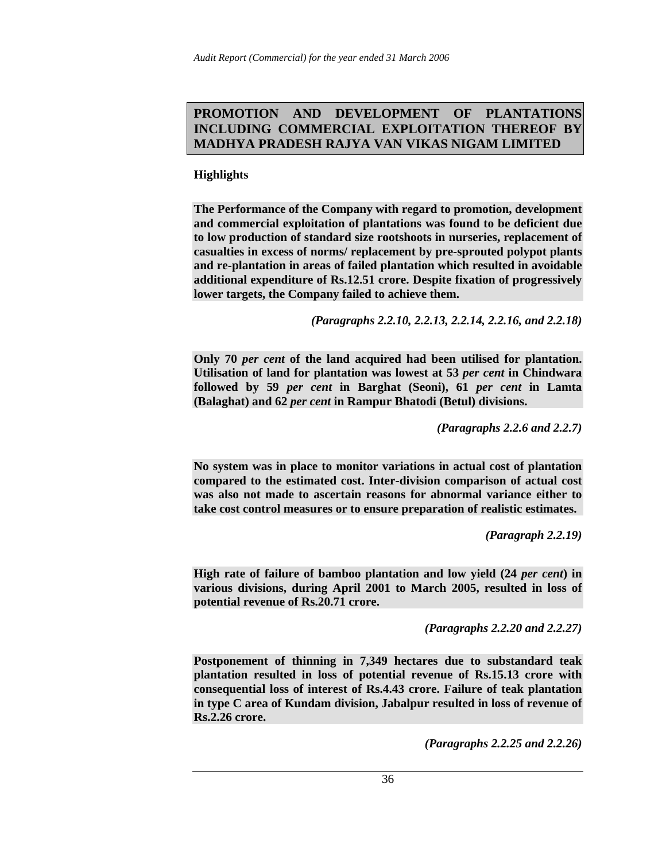# **PROMOTION AND DEVELOPMENT OF PLANTATIONS INCLUDING COMMERCIAL EXPLOITATION THEREOF BY MADHYA PRADESH RAJYA VAN VIKAS NIGAM LIMITED**

# **Highlights**

**The Performance of the Company with regard to promotion, development and commercial exploitation of plantations was found to be deficient due to low production of standard size rootshoots in nurseries, replacement of casualties in excess of norms/ replacement by pre-sprouted polypot plants and re-plantation in areas of failed plantation which resulted in avoidable additional expenditure of Rs.12.51 crore. Despite fixation of progressively lower targets, the Company failed to achieve them.** 

*(Paragraphs 2.2.10, 2.2.13, 2.2.14, 2.2.16, and 2.2.18)* 

**Only 70** *per cent* **of the land acquired had been utilised for plantation. Utilisation of land for plantation was lowest at 53** *per cent* **in Chindwara followed by 59** *per cent* **in Barghat (Seoni), 61** *per cent* **in Lamta (Balaghat) and 62** *per cent* **in Rampur Bhatodi (Betul) divisions.** 

*(Paragraphs 2.2.6 and 2.2.7)* 

**No system was in place to monitor variations in actual cost of plantation compared to the estimated cost. Inter-division comparison of actual cost was also not made to ascertain reasons for abnormal variance either to take cost control measures or to ensure preparation of realistic estimates.** 

*(Paragraph 2.2.19)*

**High rate of failure of bamboo plantation and low yield (24** *per cent***) in various divisions, during April 2001 to March 2005, resulted in loss of potential revenue of Rs.20.71 crore.** 

*(Paragraphs 2.2.20 and 2.2.27)* 

**Postponement of thinning in 7,349 hectares due to substandard teak plantation resulted in loss of potential revenue of Rs.15.13 crore with consequential loss of interest of Rs.4.43 crore. Failure of teak plantation in type C area of Kundam division, Jabalpur resulted in loss of revenue of Rs.2.26 crore.** 

*(Paragraphs 2.2.25 and 2.2.26)*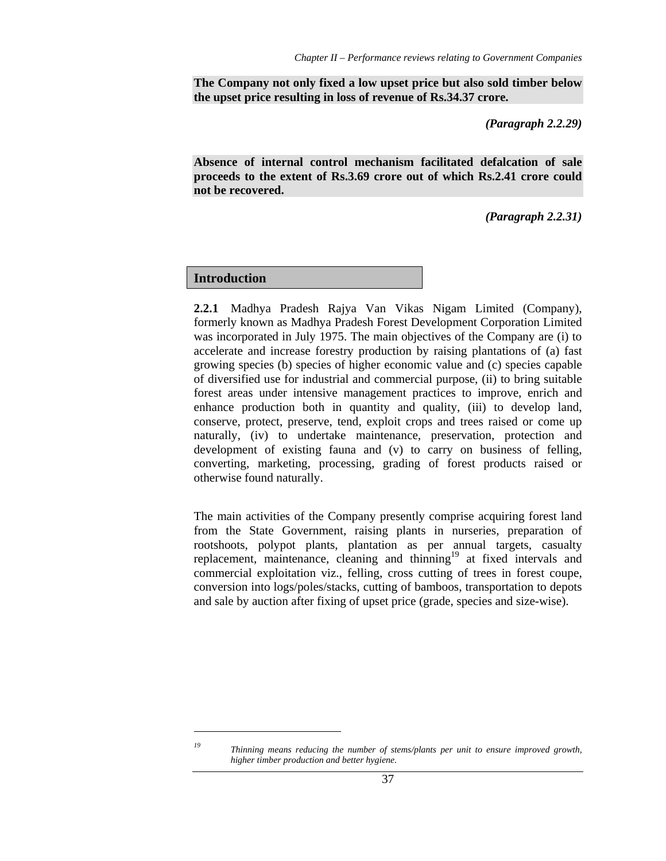**The Company not only fixed a low upset price but also sold timber below the upset price resulting in loss of revenue of Rs.34.37 crore.** 

*(Paragraph 2.2.29)* 

**Absence of internal control mechanism facilitated defalcation of sale proceeds to the extent of Rs.3.69 crore out of which Rs.2.41 crore could not be recovered.** 

*(Paragraph 2.2.31)* 

### **Introduction**

**2.2.1** Madhya Pradesh Rajya Van Vikas Nigam Limited (Company), formerly known as Madhya Pradesh Forest Development Corporation Limited was incorporated in July 1975. The main objectives of the Company are (i) to accelerate and increase forestry production by raising plantations of (a) fast growing species (b) species of higher economic value and (c) species capable of diversified use for industrial and commercial purpose, (ii) to bring suitable forest areas under intensive management practices to improve, enrich and enhance production both in quantity and quality, (iii) to develop land, conserve, protect, preserve, tend, exploit crops and trees raised or come up naturally, (iv) to undertake maintenance, preservation, protection and development of existing fauna and (v) to carry on business of felling, converting, marketing, processing, grading of forest products raised or otherwise found naturally.

The main activities of the Company presently comprise acquiring forest land from the State Government, raising plants in nurseries, preparation of rootshoots, polypot plants, plantation as per annual targets, casualty replacement, maintenance, cleaning and thinning<sup>19</sup> at fixed intervals and commercial exploitation viz., felling, cross cutting of trees in forest coupe, conversion into logs/poles/stacks, cutting of bamboos, transportation to depots and sale by auction after fixing of upset price (grade, species and size-wise).

l

*<sup>19</sup> Thinning means reducing the number of stems/plants per unit to ensure improved growth, higher timber production and better hygiene.*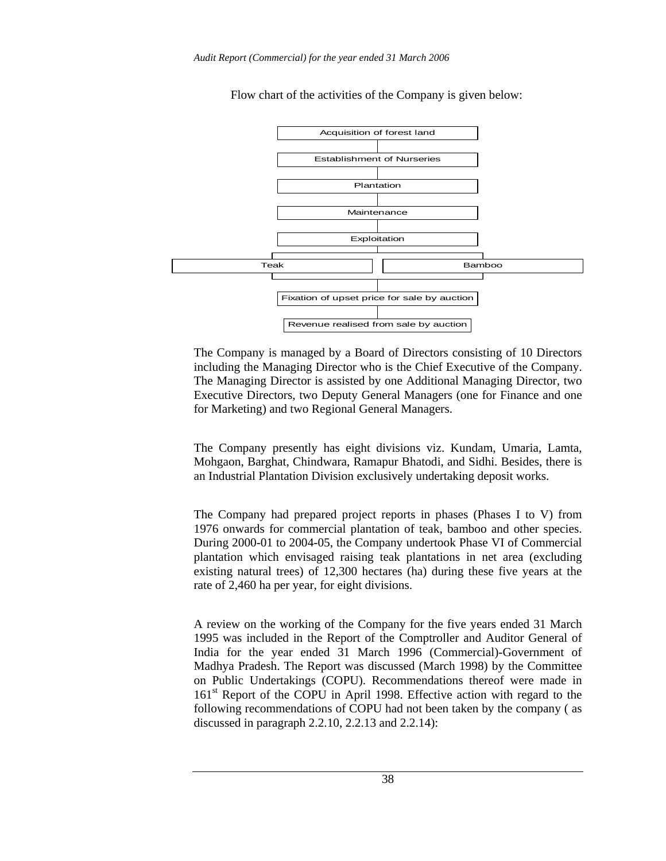Flow chart of the activities of the Company is given below:



The Company is managed by a Board of Directors consisting of 10 Directors including the Managing Director who is the Chief Executive of the Company. The Managing Director is assisted by one Additional Managing Director, two Executive Directors, two Deputy General Managers (one for Finance and one for Marketing) and two Regional General Managers.

The Company presently has eight divisions viz. Kundam, Umaria, Lamta, Mohgaon, Barghat, Chindwara, Ramapur Bhatodi, and Sidhi. Besides, there is an Industrial Plantation Division exclusively undertaking deposit works.

The Company had prepared project reports in phases (Phases I to V) from 1976 onwards for commercial plantation of teak, bamboo and other species. During 2000-01 to 2004-05, the Company undertook Phase VI of Commercial plantation which envisaged raising teak plantations in net area (excluding existing natural trees) of 12,300 hectares (ha) during these five years at the rate of 2,460 ha per year, for eight divisions.

A review on the working of the Company for the five years ended 31 March 1995 was included in the Report of the Comptroller and Auditor General of India for the year ended 31 March 1996 (Commercial)-Government of Madhya Pradesh. The Report was discussed (March 1998) by the Committee on Public Undertakings (COPU). Recommendations thereof were made in 161<sup>st</sup> Report of the COPU in April 1998. Effective action with regard to the following recommendations of COPU had not been taken by the company ( as discussed in paragraph 2.2.10, 2.2.13 and 2.2.14):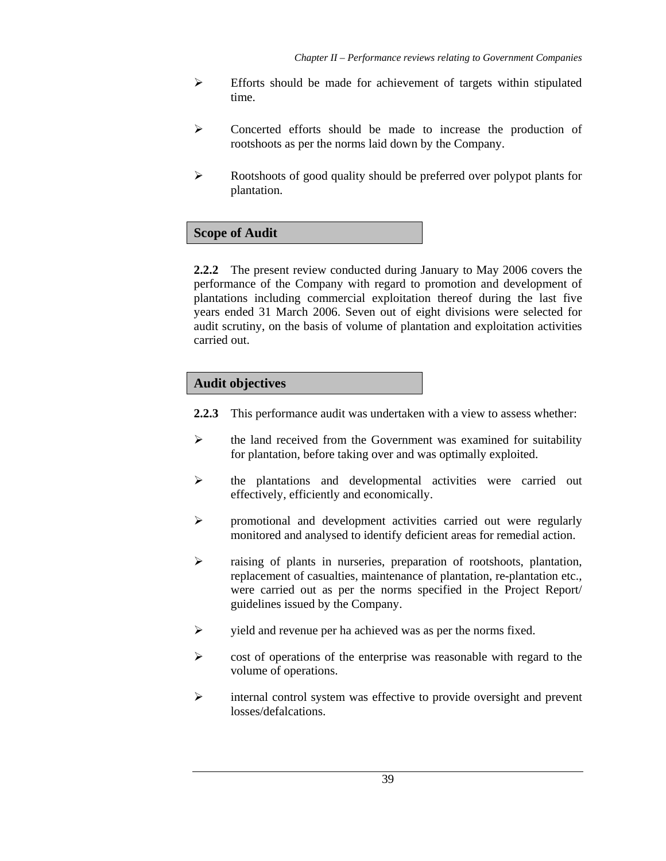- ¾ Efforts should be made for achievement of targets within stipulated time.
- $\triangleright$  Concerted efforts should be made to increase the production of rootshoots as per the norms laid down by the Company.
- $\triangleright$  Rootshoots of good quality should be preferred over polypot plants for plantation.

# **Scope of Audit**

**2.2.2** The present review conducted during January to May 2006 covers the performance of the Company with regard to promotion and development of plantations including commercial exploitation thereof during the last five years ended 31 March 2006. Seven out of eight divisions were selected for audit scrutiny, on the basis of volume of plantation and exploitation activities carried out.

# **Audit objectives**

- **2.2.3** This performance audit was undertaken with a view to assess whether:
- $\triangleright$  the land received from the Government was examined for suitability for plantation, before taking over and was optimally exploited.
- ¾ the plantations and developmental activities were carried out effectively, efficiently and economically.
- ¾ promotional and development activities carried out were regularly monitored and analysed to identify deficient areas for remedial action.
- ¾ raising of plants in nurseries, preparation of rootshoots, plantation, replacement of casualties, maintenance of plantation, re-plantation etc., were carried out as per the norms specified in the Project Report/ guidelines issued by the Company.
- $\triangleright$  yield and revenue per ha achieved was as per the norms fixed.
- $\triangleright$  cost of operations of the enterprise was reasonable with regard to the volume of operations.
- $\triangleright$  internal control system was effective to provide oversight and prevent losses/defalcations.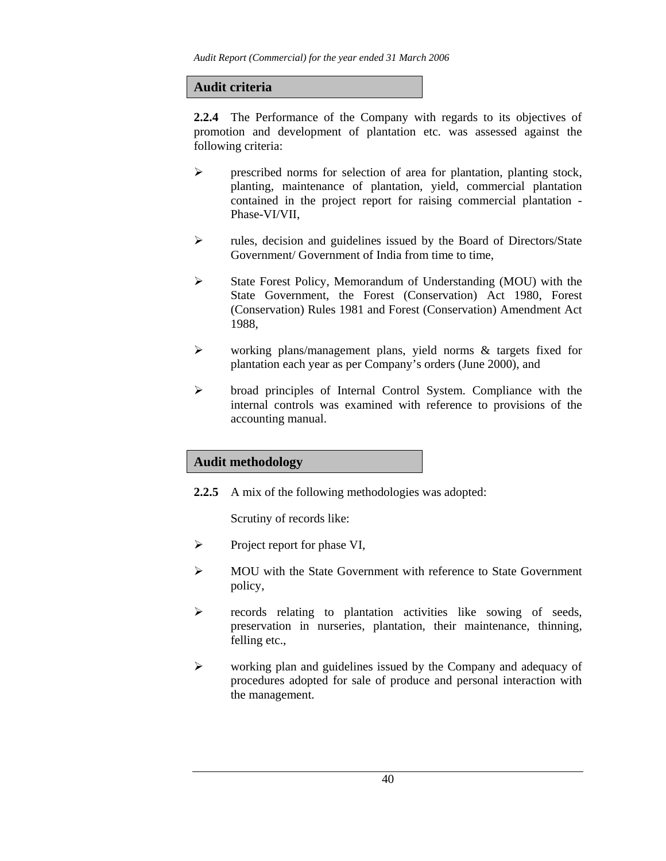*Audit Report (Commercial) for the year ended 31 March 2006* 

# **Audit criteria**

**2.2.4** The Performance of the Company with regards to its objectives of promotion and development of plantation etc. was assessed against the following criteria:

- $\triangleright$  prescribed norms for selection of area for plantation, planting stock, planting, maintenance of plantation, yield, commercial plantation contained in the project report for raising commercial plantation - Phase-VI/VII,
- ¾ rules, decision and guidelines issued by the Board of Directors/State Government/ Government of India from time to time,
- ¾ State Forest Policy, Memorandum of Understanding (MOU) with the State Government, the Forest (Conservation) Act 1980, Forest (Conservation) Rules 1981 and Forest (Conservation) Amendment Act 1988,
- ¾ working plans/management plans, yield norms & targets fixed for plantation each year as per Company's orders (June 2000), and
- ¾ broad principles of Internal Control System. Compliance with the internal controls was examined with reference to provisions of the accounting manual.

# **Audit methodology**

**2.2.5** A mix of the following methodologies was adopted:

Scrutiny of records like:

- $\triangleright$  Project report for phase VI,
- $\triangleright$  MOU with the State Government with reference to State Government policy,
- ¾ records relating to plantation activities like sowing of seeds, preservation in nurseries, plantation, their maintenance, thinning, felling etc.,
- ¾ working plan and guidelines issued by the Company and adequacy of procedures adopted for sale of produce and personal interaction with the management.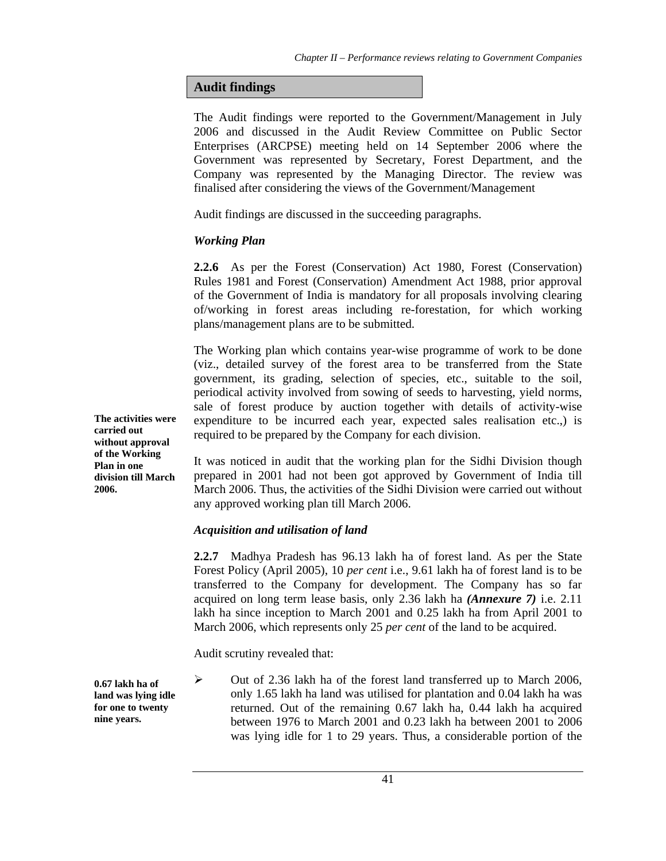# **Audit findings**

The Audit findings were reported to the Government/Management in July 2006 and discussed in the Audit Review Committee on Public Sector Enterprises (ARCPSE) meeting held on 14 September 2006 where the Government was represented by Secretary, Forest Department, and the Company was represented by the Managing Director. The review was finalised after considering the views of the Government/Management

Audit findings are discussed in the succeeding paragraphs.

# *Working Plan*

**2.2.6** As per the Forest (Conservation) Act 1980, Forest (Conservation) Rules 1981 and Forest (Conservation) Amendment Act 1988, prior approval of the Government of India is mandatory for all proposals involving clearing of/working in forest areas including re-forestation, for which working plans/management plans are to be submitted.

The Working plan which contains year-wise programme of work to be done (viz., detailed survey of the forest area to be transferred from the State government, its grading, selection of species, etc., suitable to the soil, periodical activity involved from sowing of seeds to harvesting, yield norms, sale of forest produce by auction together with details of activity-wise expenditure to be incurred each year, expected sales realisation etc.,) is required to be prepared by the Company for each division.

It was noticed in audit that the working plan for the Sidhi Division though prepared in 2001 had not been got approved by Government of India till March 2006. Thus, the activities of the Sidhi Division were carried out without any approved working plan till March 2006.

# *Acquisition and utilisation of land*

**2.2.7** Madhya Pradesh has 96.13 lakh ha of forest land. As per the State Forest Policy (April 2005), 10 *per cent* i.e., 9.61 lakh ha of forest land is to be transferred to the Company for development. The Company has so far acquired on long term lease basis, only 2.36 lakh ha *(Annexure 7)* i.e. 2.11 lakh ha since inception to March 2001 and 0.25 lakh ha from April 2001 to March 2006, which represents only 25 *per cent* of the land to be acquired.

Audit scrutiny revealed that:

**0.67 lakh ha of land was lying idle for one to twenty nine years.** 

 $\blacktriangleright$  Out of 2.36 lakh ha of the forest land transferred up to March 2006, only 1.65 lakh ha land was utilised for plantation and 0.04 lakh ha was returned. Out of the remaining 0.67 lakh ha, 0.44 lakh ha acquired between 1976 to March 2001 and 0.23 lakh ha between 2001 to 2006 was lying idle for 1 to 29 years. Thus, a considerable portion of the

**The activities were carried out without approval of the Working Plan in one division till March 2006.**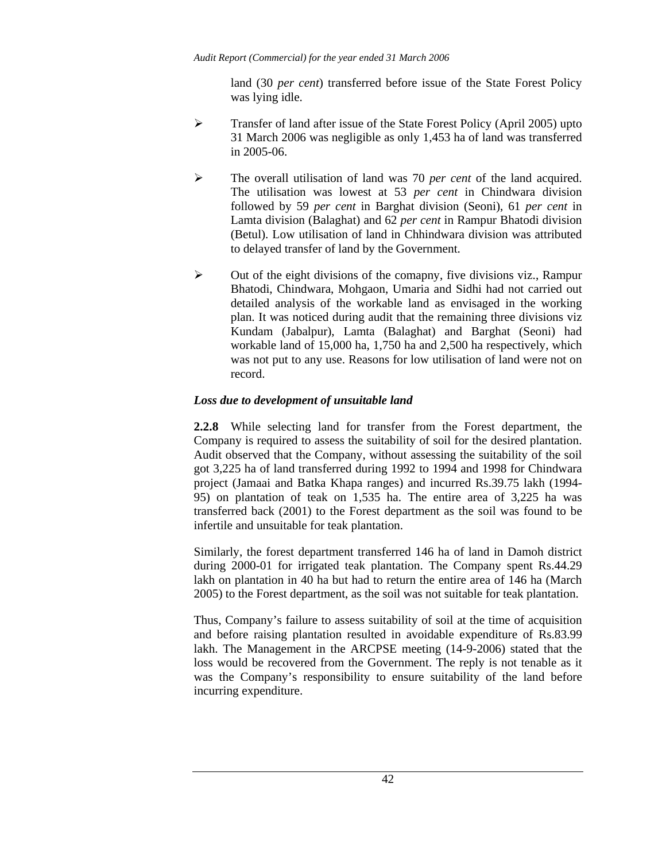land (30 *per cent*) transferred before issue of the State Forest Policy was lying idle.

- ¾ Transfer of land after issue of the State Forest Policy (April 2005) upto 31 March 2006 was negligible as only 1,453 ha of land was transferred in 2005-06.
- ¾ The overall utilisation of land was 70 *per cent* of the land acquired. The utilisation was lowest at 53 *per cent* in Chindwara division followed by 59 *per cent* in Barghat division (Seoni), 61 *per cent* in Lamta division (Balaghat) and 62 *per cent* in Rampur Bhatodi division (Betul). Low utilisation of land in Chhindwara division was attributed to delayed transfer of land by the Government.
- $\triangleright$  Out of the eight divisions of the comapny, five divisions viz., Rampur Bhatodi, Chindwara, Mohgaon, Umaria and Sidhi had not carried out detailed analysis of the workable land as envisaged in the working plan. It was noticed during audit that the remaining three divisions viz Kundam (Jabalpur), Lamta (Balaghat) and Barghat (Seoni) had workable land of 15,000 ha, 1,750 ha and 2,500 ha respectively, which was not put to any use. Reasons for low utilisation of land were not on record.

## *Loss due to development of unsuitable land*

**2.2.8** While selecting land for transfer from the Forest department, the Company is required to assess the suitability of soil for the desired plantation. Audit observed that the Company, without assessing the suitability of the soil got 3,225 ha of land transferred during 1992 to 1994 and 1998 for Chindwara project (Jamaai and Batka Khapa ranges) and incurred Rs.39.75 lakh (1994- 95) on plantation of teak on 1,535 ha. The entire area of 3,225 ha was transferred back (2001) to the Forest department as the soil was found to be infertile and unsuitable for teak plantation.

Similarly, the forest department transferred 146 ha of land in Damoh district during 2000-01 for irrigated teak plantation. The Company spent Rs.44.29 lakh on plantation in 40 ha but had to return the entire area of 146 ha (March 2005) to the Forest department, as the soil was not suitable for teak plantation.

Thus, Company's failure to assess suitability of soil at the time of acquisition and before raising plantation resulted in avoidable expenditure of Rs.83.99 lakh. The Management in the ARCPSE meeting (14-9-2006) stated that the loss would be recovered from the Government. The reply is not tenable as it was the Company's responsibility to ensure suitability of the land before incurring expenditure.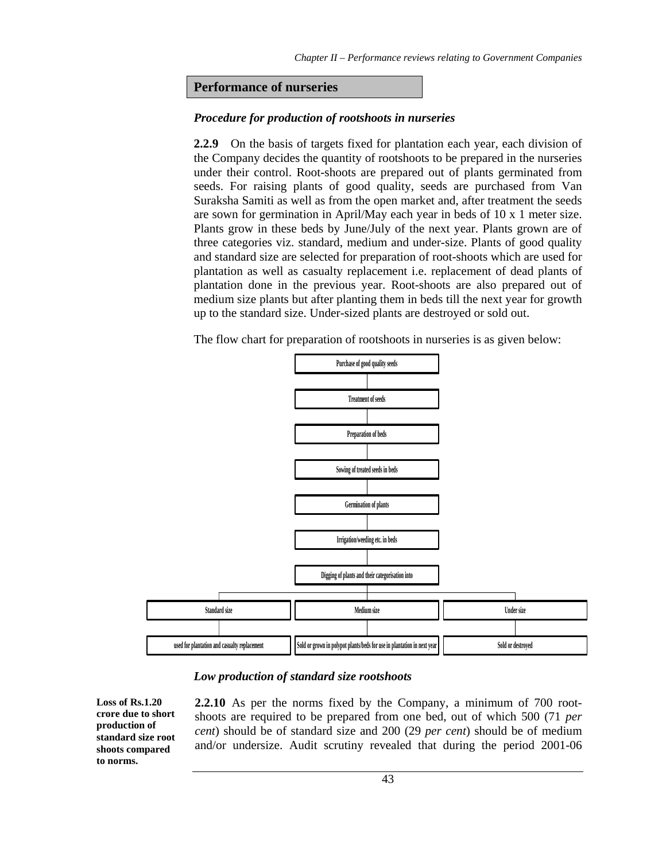## **Performance of nurseries**

### *Procedure for production of rootshoots in nurseries*

**2.2.9** On the basis of targets fixed for plantation each year, each division of the Company decides the quantity of rootshoots to be prepared in the nurseries under their control. Root-shoots are prepared out of plants germinated from seeds. For raising plants of good quality, seeds are purchased from Van Suraksha Samiti as well as from the open market and, after treatment the seeds are sown for germination in April/May each year in beds of 10 x 1 meter size. Plants grow in these beds by June/July of the next year. Plants grown are of three categories viz. standard, medium and under-size. Plants of good quality and standard size are selected for preparation of root-shoots which are used for plantation as well as casualty replacement i.e. replacement of dead plants of plantation done in the previous year. Root-shoots are also prepared out of medium size plants but after planting them in beds till the next year for growth up to the standard size. Under-sized plants are destroyed or sold out.

The flow chart for preparation of rootshoots in nurseries is as given below:



### *Low production of standard size rootshoots*

**Loss of Rs.1.20 crore due to short production of standard size root shoots compared to norms.** 

**2.2.10** As per the norms fixed by the Company, a minimum of 700 rootshoots are required to be prepared from one bed, out of which 500 (71 *per cent*) should be of standard size and 200 (29 *per cent*) should be of medium and/or undersize. Audit scrutiny revealed that during the period 2001-06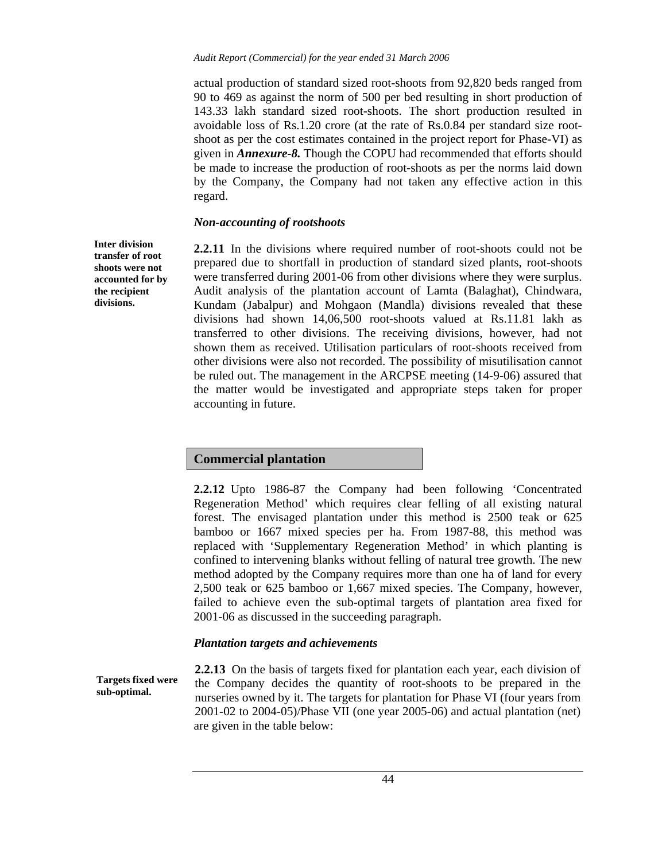actual production of standard sized root-shoots from 92,820 beds ranged from 90 to 469 as against the norm of 500 per bed resulting in short production of 143.33 lakh standard sized root-shoots. The short production resulted in avoidable loss of Rs.1.20 crore (at the rate of Rs.0.84 per standard size rootshoot as per the cost estimates contained in the project report for Phase-VI) as given in *Annexure-8.* Though the COPU had recommended that efforts should be made to increase the production of root-shoots as per the norms laid down by the Company, the Company had not taken any effective action in this regard.

#### *Non-accounting of rootshoots*

**2.2.11** In the divisions where required number of root-shoots could not be prepared due to shortfall in production of standard sized plants, root-shoots were transferred during 2001-06 from other divisions where they were surplus. Audit analysis of the plantation account of Lamta (Balaghat), Chindwara, Kundam (Jabalpur) and Mohgaon (Mandla) divisions revealed that these divisions had shown 14,06,500 root-shoots valued at Rs.11.81 lakh as transferred to other divisions. The receiving divisions, however, had not shown them as received. Utilisation particulars of root-shoots received from other divisions were also not recorded. The possibility of misutilisation cannot be ruled out. The management in the ARCPSE meeting (14-9-06) assured that the matter would be investigated and appropriate steps taken for proper accounting in future.

### **Commercial plantation**

**2.2.12** Upto 1986-87 the Company had been following 'Concentrated Regeneration Method' which requires clear felling of all existing natural forest. The envisaged plantation under this method is 2500 teak or 625 bamboo or 1667 mixed species per ha. From 1987-88, this method was replaced with 'Supplementary Regeneration Method' in which planting is confined to intervening blanks without felling of natural tree growth. The new method adopted by the Company requires more than one ha of land for every 2,500 teak or 625 bamboo or 1,667 mixed species. The Company, however, failed to achieve even the sub-optimal targets of plantation area fixed for 2001-06 as discussed in the succeeding paragraph.

#### *Plantation targets and achievements*

**Targets fixed were sub-optimal.** 

**2.2.13** On the basis of targets fixed for plantation each year, each division of the Company decides the quantity of root-shoots to be prepared in the nurseries owned by it. The targets for plantation for Phase VI (four years from 2001-02 to 2004-05)/Phase VII (one year 2005-06) and actual plantation (net) are given in the table below:

**Inter division transfer of root shoots were not accounted for by the recipient divisions.**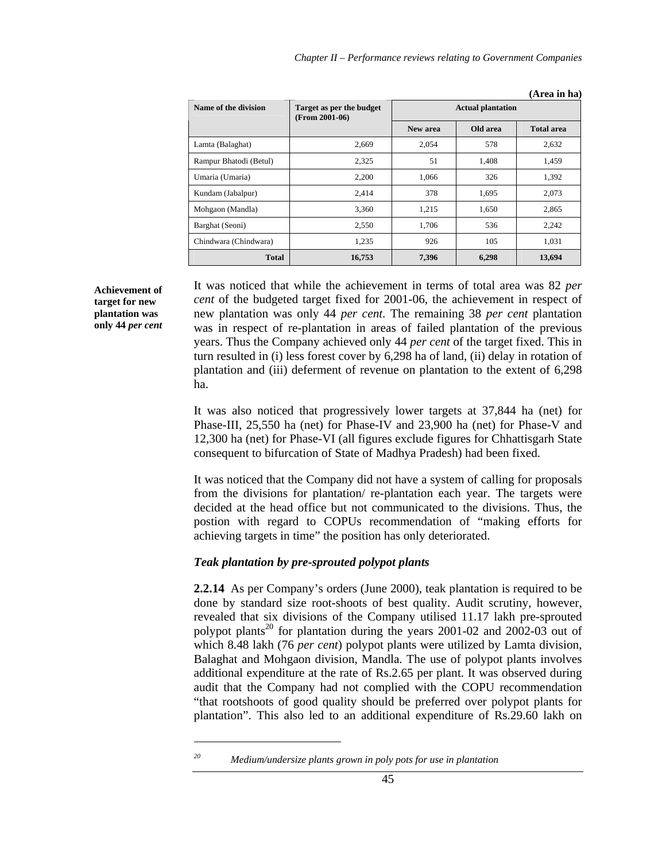| Name of the division   | Target as per the budget<br>$(From 2001-06)$ | <b>Actual plantation</b> |          |                   |  |  |
|------------------------|----------------------------------------------|--------------------------|----------|-------------------|--|--|
|                        |                                              | New area                 | Old area | <b>Total area</b> |  |  |
| Lamta (Balaghat)       | 2,669                                        | 2.054                    | 578      | 2,632             |  |  |
| Rampur Bhatodi (Betul) | 2,325                                        | 51                       | 1,408    | 1,459             |  |  |
| Umaria (Umaria)        | 2,200                                        | 1,066                    | 326      | 1,392             |  |  |
| Kundam (Jabalpur)      | 2.414                                        | 378                      | 1,695    | 2,073             |  |  |
| Mohgaon (Mandla)       | 3,360                                        | 1,215                    | 1,650    | 2,865             |  |  |
| Barghat (Seoni)        | 2,550                                        | 1,706                    | 536      | 2,242             |  |  |
| Chindwara (Chindwara)  | 1,235                                        | 926                      | 105      | 1,031             |  |  |
| <b>Total</b>           | 16,753                                       | 7,396                    | 6,298    | 13,694            |  |  |

**(Area in ha)**

**Achievement of target for new plantation was only 44** *per cent* It was noticed that while the achievement in terms of total area was 82 *per cent* of the budgeted target fixed for 2001-06, the achievement in respect of new plantation was only 44 *per cent*. The remaining 38 *per cent* plantation was in respect of re-plantation in areas of failed plantation of the previous years. Thus the Company achieved only 44 *per cent* of the target fixed. This in turn resulted in (i) less forest cover by 6,298 ha of land, (ii) delay in rotation of plantation and (iii) deferment of revenue on plantation to the extent of 6,298 ha.

It was also noticed that progressively lower targets at 37,844 ha (net) for Phase-III, 25,550 ha (net) for Phase-IV and 23,900 ha (net) for Phase-V and 12,300 ha (net) for Phase-VI (all figures exclude figures for Chhattisgarh State consequent to bifurcation of State of Madhya Pradesh) had been fixed.

It was noticed that the Company did not have a system of calling for proposals from the divisions for plantation/ re-plantation each year. The targets were decided at the head office but not communicated to the divisions. Thus, the postion with regard to COPUs recommendation of "making efforts for achieving targets in time" the position has only deteriorated.

### *Teak plantation by pre-sprouted polypot plants*

l

**2.2.14** As per Company's orders (June 2000), teak plantation is required to be done by standard size root-shoots of best quality. Audit scrutiny, however, revealed that six divisions of the Company utilised 11.17 lakh pre-sprouted polypot plants<sup>20</sup> for plantation during the years 2001-02 and 2002-03 out of which 8.48 lakh (76 *per cent*) polypot plants were utilized by Lamta division, Balaghat and Mohgaon division, Mandla. The use of polypot plants involves additional expenditure at the rate of Rs.2.65 per plant. It was observed during audit that the Company had not complied with the COPU recommendation "that rootshoots of good quality should be preferred over polypot plants for plantation". This also led to an additional expenditure of Rs.29.60 lakh on

*<sup>20</sup> Medium/undersize plants grown in poly pots for use in plantation*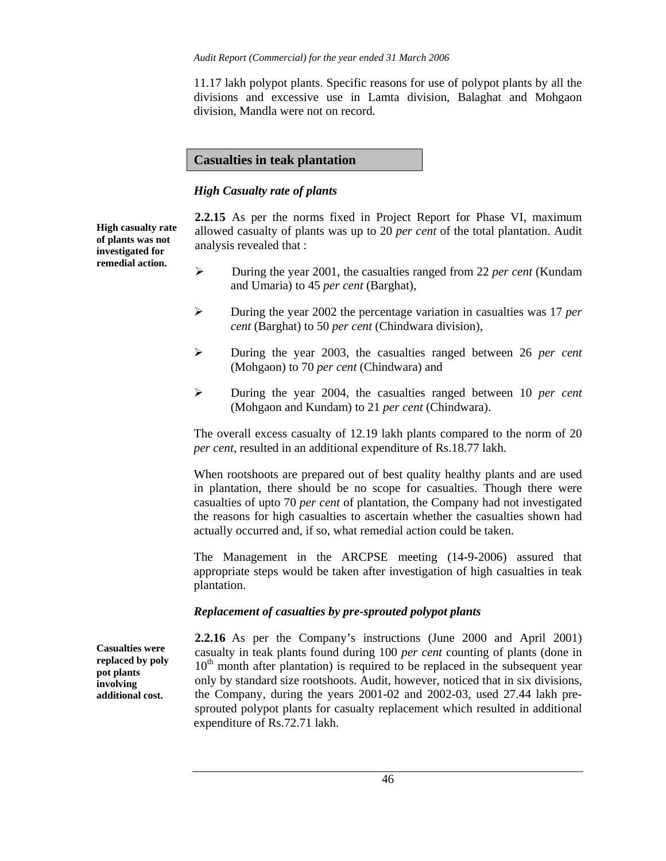11.17 lakh polypot plants. Specific reasons for use of polypot plants by all the divisions and excessive use in Lamta division, Balaghat and Mohgaon division, Mandla were not on record.

## **Casualties in teak plantation**

## *High Casualty rate of plants*

**2.2.15** As per the norms fixed in Project Report for Phase VI, maximum allowed casualty of plants was up to 20 *per cent* of the total plantation. Audit analysis revealed that :

- ¾ During the year 2001, the casualties ranged from 22 *per cent* (Kundam and Umaria) to 45 *per cent* (Barghat),
- ¾ During the year 2002 the percentage variation in casualties was 17 *per cent* (Barghat) to 50 *per cent* (Chindwara division),
- ¾ During the year 2003, the casualties ranged between 26 *per cent* (Mohgaon) to 70 *per cent* (Chindwara) and
- ¾ During the year 2004, the casualties ranged between 10 *per cent* (Mohgaon and Kundam) to 21 *per cent* (Chindwara).

The overall excess casualty of 12.19 lakh plants compared to the norm of 20 *per cent*, resulted in an additional expenditure of Rs.18.77 lakh.

When rootshoots are prepared out of best quality healthy plants and are used in plantation, there should be no scope for casualties. Though there were casualties of upto 70 *per cent* of plantation, the Company had not investigated the reasons for high casualties to ascertain whether the casualties shown had actually occurred and, if so, what remedial action could be taken.

The Management in the ARCPSE meeting (14-9-2006) assured that appropriate steps would be taken after investigation of high casualties in teak plantation.

### *Replacement of casualties by pre-sprouted polypot plants*

**2.2.16** As per the Company's instructions (June 2000 and April 2001) casualty in teak plants found during 100 *per cent* counting of plants (done in  $10<sup>th</sup>$  month after plantation) is required to be replaced in the subsequent year only by standard size rootshoots. Audit, however, noticed that in six divisions, the Company, during the years 2001-02 and 2002-03, used 27.44 lakh presprouted polypot plants for casualty replacement which resulted in additional expenditure of Rs.72.71 lakh.

**Casualties were replaced by poly pot plants involving additional cost.** 

**High casualty rate of plants was not investigated for remedial action.**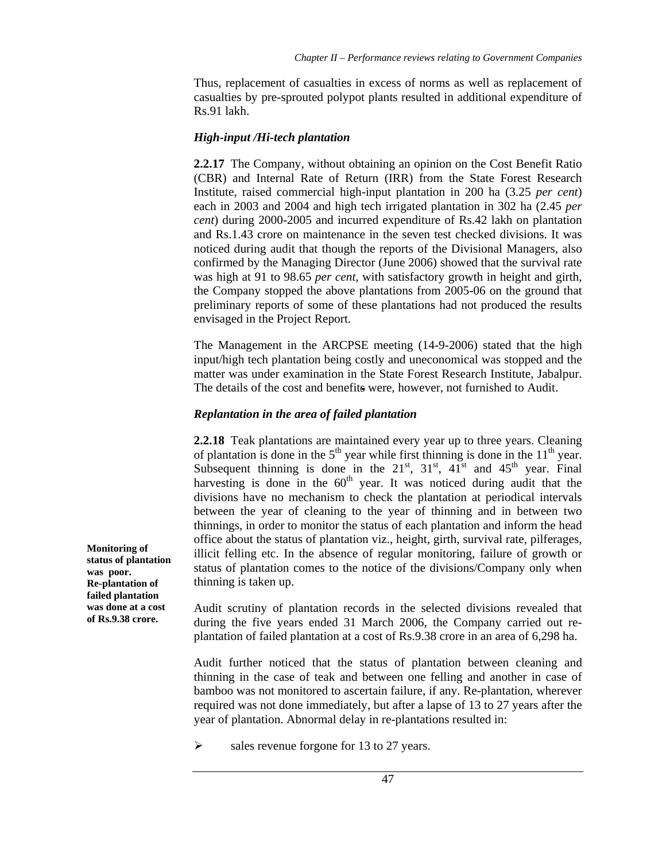Thus, replacement of casualties in excess of norms as well as replacement of casualties by pre-sprouted polypot plants resulted in additional expenditure of Rs.91 lakh.

## *High-input /Hi-tech plantation*

**2.2.17** The Company, without obtaining an opinion on the Cost Benefit Ratio (CBR) and Internal Rate of Return (IRR) from the State Forest Research Institute, raised commercial high-input plantation in 200 ha (3.25 *per cent*) each in 2003 and 2004 and high tech irrigated plantation in 302 ha (2.45 *per cent*) during 2000-2005 and incurred expenditure of Rs.42 lakh on plantation and Rs.1.43 crore on maintenance in the seven test checked divisions. It was noticed during audit that though the reports of the Divisional Managers, also confirmed by the Managing Director (June 2006) showed that the survival rate was high at 91 to 98.65 *per cent*, with satisfactory growth in height and girth, the Company stopped the above plantations from 2005-06 on the ground that preliminary reports of some of these plantations had not produced the results envisaged in the Project Report.

The Management in the ARCPSE meeting (14-9-2006) stated that the high input/high tech plantation being costly and uneconomical was stopped and the matter was under examination in the State Forest Research Institute, Jabalpur. The details of the cost and benefits were, however, not furnished to Audit.

## *Replantation in the area of failed plantation*

**2.2.18** Teak plantations are maintained every year up to three years. Cleaning of plantation is done in the  $5<sup>th</sup>$  year while first thinning is done in the  $11<sup>th</sup>$  year. Subsequent thinning is done in the  $21<sup>st</sup>$ ,  $31<sup>st</sup>$ ,  $41<sup>st</sup>$  and  $45<sup>th</sup>$  year. Final harvesting is done in the  $60<sup>th</sup>$  year. It was noticed during audit that the divisions have no mechanism to check the plantation at periodical intervals between the year of cleaning to the year of thinning and in between two thinnings, in order to monitor the status of each plantation and inform the head office about the status of plantation viz., height, girth, survival rate, pilferages, illicit felling etc. In the absence of regular monitoring, failure of growth or status of plantation comes to the notice of the divisions/Company only when thinning is taken up.

Audit scrutiny of plantation records in the selected divisions revealed that during the five years ended 31 March 2006, the Company carried out replantation of failed plantation at a cost of Rs.9.38 crore in an area of 6,298 ha.

Audit further noticed that the status of plantation between cleaning and thinning in the case of teak and between one felling and another in case of bamboo was not monitored to ascertain failure, if any. Re-plantation, wherever required was not done immediately, but after a lapse of 13 to 27 years after the year of plantation. Abnormal delay in re-plantations resulted in:

 $\triangleright$  sales revenue forgone for 13 to 27 years.

**status of plantation was poor. Re-plantation of failed plantation was done at a cost of Rs.9.38 crore.** 

**Monitoring of**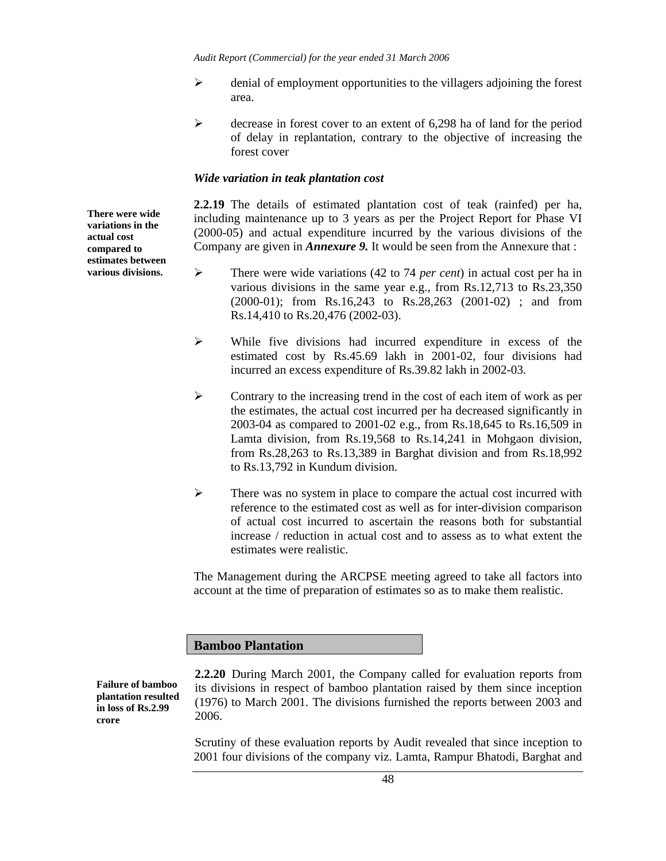- $\triangleright$  denial of employment opportunities to the villagers adjoining the forest area.
- ¾ decrease in forest cover to an extent of 6,298 ha of land for the period of delay in replantation, contrary to the objective of increasing the forest cover

### *Wide variation in teak plantation cost*

**2.2.19** The details of estimated plantation cost of teak (rainfed) per ha, including maintenance up to 3 years as per the Project Report for Phase VI (2000-05) and actual expenditure incurred by the various divisions of the Company are given in *Annexure 9.* It would be seen from the Annexure that :

- ¾ There were wide variations (42 to 74 *per cent*) in actual cost per ha in various divisions in the same year e.g., from Rs.12,713 to Rs.23,350 (2000-01); from Rs.16,243 to Rs.28,263 (2001-02) ; and from Rs.14,410 to Rs.20,476 (2002-03).
- ¾ While five divisions had incurred expenditure in excess of the estimated cost by Rs.45.69 lakh in 2001-02, four divisions had incurred an excess expenditure of Rs.39.82 lakh in 2002-03.
- $\triangleright$  Contrary to the increasing trend in the cost of each item of work as per the estimates, the actual cost incurred per ha decreased significantly in 2003-04 as compared to 2001-02 e.g., from Rs.18,645 to Rs.16,509 in Lamta division, from Rs.19,568 to Rs.14,241 in Mohgaon division, from Rs.28,263 to Rs.13,389 in Barghat division and from Rs.18,992 to Rs.13,792 in Kundum division.
- $\triangleright$  There was no system in place to compare the actual cost incurred with reference to the estimated cost as well as for inter-division comparison of actual cost incurred to ascertain the reasons both for substantial increase / reduction in actual cost and to assess as to what extent the estimates were realistic.

The Management during the ARCPSE meeting agreed to take all factors into account at the time of preparation of estimates so as to make them realistic.

## **Bamboo Plantation**

**Failure of bamboo plantation resulted in loss of Rs.2.99 crore** 

**2.2.20** During March 2001, the Company called for evaluation reports from its divisions in respect of bamboo plantation raised by them since inception (1976) to March 2001. The divisions furnished the reports between 2003 and 2006.

Scrutiny of these evaluation reports by Audit revealed that since inception to 2001 four divisions of the company viz. Lamta, Rampur Bhatodi, Barghat and

**There were wide variations in the actual cost compared to estimates between various divisions.**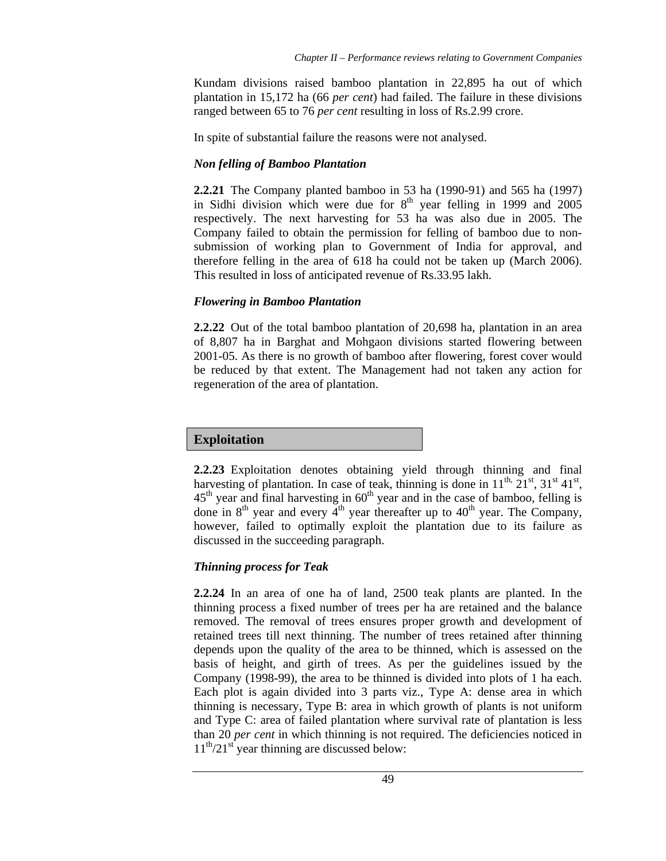Kundam divisions raised bamboo plantation in 22,895 ha out of which plantation in 15,172 ha (66 *per cent*) had failed. The failure in these divisions ranged between 65 to 76 *per cent* resulting in loss of Rs.2.99 crore.

In spite of substantial failure the reasons were not analysed.

## *Non felling of Bamboo Plantation*

**2.2.21** The Company planted bamboo in 53 ha (1990-91) and 565 ha (1997) in Sidhi division which were due for  $8<sup>th</sup>$  year felling in 1999 and 2005 respectively. The next harvesting for 53 ha was also due in 2005. The Company failed to obtain the permission for felling of bamboo due to nonsubmission of working plan to Government of India for approval, and therefore felling in the area of 618 ha could not be taken up (March 2006). This resulted in loss of anticipated revenue of Rs.33.95 lakh.

## *Flowering in Bamboo Plantation*

**2.2.22** Out of the total bamboo plantation of 20,698 ha, plantation in an area of 8,807 ha in Barghat and Mohgaon divisions started flowering between 2001-05. As there is no growth of bamboo after flowering, forest cover would be reduced by that extent. The Management had not taken any action for regeneration of the area of plantation.

# **Exploitation**

**2.2.23** Exploitation denotes obtaining yield through thinning and final harvesting of plantation. In case of teak, thinning is done in  $11^{th}$ ,  $21^{st}$ ,  $31^{st}$ ,  $41^{st}$ ,  $45<sup>th</sup>$  year and final harvesting in  $60<sup>th</sup>$  year and in the case of bamboo, felling is done in  $8<sup>th</sup>$  year and every  $4<sup>th</sup>$  year thereafter up to  $40<sup>th</sup>$  year. The Company, however, failed to optimally exploit the plantation due to its failure as discussed in the succeeding paragraph.

# *Thinning process for Teak*

**2.2.24** In an area of one ha of land, 2500 teak plants are planted. In the thinning process a fixed number of trees per ha are retained and the balance removed. The removal of trees ensures proper growth and development of retained trees till next thinning. The number of trees retained after thinning depends upon the quality of the area to be thinned, which is assessed on the basis of height, and girth of trees. As per the guidelines issued by the Company (1998-99), the area to be thinned is divided into plots of 1 ha each. Each plot is again divided into 3 parts viz., Type A: dense area in which thinning is necessary, Type B: area in which growth of plants is not uniform and Type C: area of failed plantation where survival rate of plantation is less than 20 *per cent* in which thinning is not required. The deficiencies noticed in  $11^{\text{th}}$ /21<sup>st</sup> year thinning are discussed below: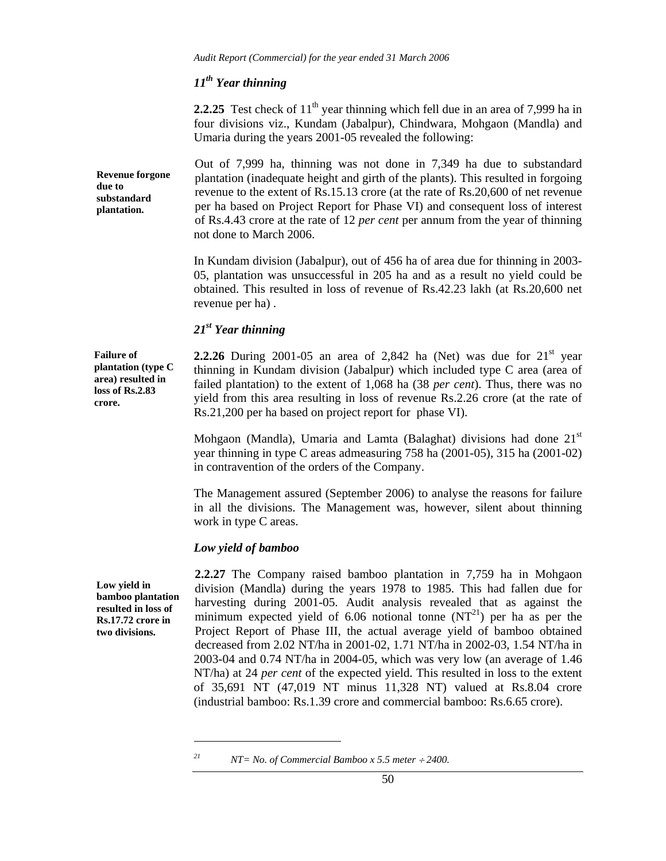## *11th Year thinning*

**2.2.25** Test check of 11<sup>th</sup> year thinning which fell due in an area of 7,999 ha in four divisions viz., Kundam (Jabalpur), Chindwara, Mohgaon (Mandla) and Umaria during the years 2001-05 revealed the following:

Out of 7,999 ha, thinning was not done in 7,349 ha due to substandard plantation (inadequate height and girth of the plants). This resulted in forgoing revenue to the extent of Rs.15.13 crore (at the rate of Rs.20,600 of net revenue per ha based on Project Report for Phase VI) and consequent loss of interest of Rs.4.43 crore at the rate of 12 *per cent* per annum from the year of thinning not done to March 2006. **Revenue forgone due to substandard plantation.** 

> In Kundam division (Jabalpur), out of 456 ha of area due for thinning in 2003- 05, plantation was unsuccessful in 205 ha and as a result no yield could be obtained. This resulted in loss of revenue of Rs.42.23 lakh (at Rs.20,600 net revenue per ha) .

# *21st Year thinning*

**Failure of plantation (type C area) resulted in loss of Rs.2.83 crore.** 

**2.2.26** During 2001-05 an area of 2,842 ha (Net) was due for  $21<sup>st</sup>$  year thinning in Kundam division (Jabalpur) which included type C area (area of failed plantation) to the extent of 1,068 ha (38 *per cent*). Thus, there was no yield from this area resulting in loss of revenue Rs.2.26 crore (at the rate of Rs.21,200 per ha based on project report for phase VI).

Mohgaon (Mandla), Umaria and Lamta (Balaghat) divisions had done  $21<sup>st</sup>$ year thinning in type C areas admeasuring 758 ha (2001-05), 315 ha (2001-02) in contravention of the orders of the Company.

The Management assured (September 2006) to analyse the reasons for failure in all the divisions. The Management was, however, silent about thinning work in type C areas.

### *Low yield of bamboo*

**Low yield in bamboo plantation resulted in loss of Rs.17.72 crore in two divisions.** 

**2.2.27** The Company raised bamboo plantation in 7,759 ha in Mohgaon division (Mandla) during the years 1978 to 1985. This had fallen due for harvesting during 2001-05. Audit analysis revealed that as against the minimum expected yield of 6.06 notional tonne  $(NT^{21})$  per ha as per the Project Report of Phase III, the actual average yield of bamboo obtained decreased from 2.02 NT/ha in 2001-02, 1.71 NT/ha in 2002-03, 1.54 NT/ha in 2003-04 and 0.74 NT/ha in 2004-05, which was very low (an average of 1.46 NT/ha) at 24 *per cent* of the expected yield. This resulted in loss to the extent of 35,691 NT (47,019 NT minus 11,328 NT) valued at Rs.8.04 crore (industrial bamboo: Rs.1.39 crore and commercial bamboo: Rs.6.65 crore).

l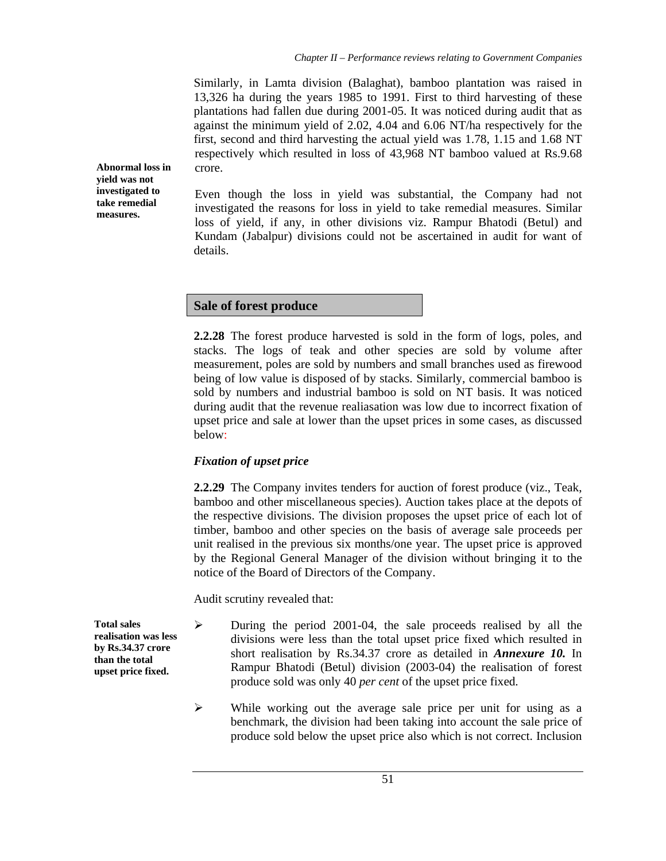Similarly, in Lamta division (Balaghat), bamboo plantation was raised in 13,326 ha during the years 1985 to 1991. First to third harvesting of these plantations had fallen due during 2001-05. It was noticed during audit that as against the minimum yield of 2.02, 4.04 and 6.06 NT/ha respectively for the first, second and third harvesting the actual yield was 1.78, 1.15 and 1.68 NT respectively which resulted in loss of 43,968 NT bamboo valued at Rs.9.68 crore.

**Abnormal loss in yield was not investigated to take remedial measures.** 

Even though the loss in yield was substantial, the Company had not investigated the reasons for loss in yield to take remedial measures. Similar loss of yield, if any, in other divisions viz. Rampur Bhatodi (Betul) and Kundam (Jabalpur) divisions could not be ascertained in audit for want of details.

# **Sale of forest produce**

**2.2.28** The forest produce harvested is sold in the form of logs, poles, and stacks. The logs of teak and other species are sold by volume after measurement, poles are sold by numbers and small branches used as firewood being of low value is disposed of by stacks. Similarly, commercial bamboo is sold by numbers and industrial bamboo is sold on NT basis. It was noticed during audit that the revenue realiasation was low due to incorrect fixation of upset price and sale at lower than the upset prices in some cases, as discussed below:

# *Fixation of upset price*

**2.2.29** The Company invites tenders for auction of forest produce (viz., Teak, bamboo and other miscellaneous species). Auction takes place at the depots of the respective divisions. The division proposes the upset price of each lot of timber, bamboo and other species on the basis of average sale proceeds per unit realised in the previous six months/one year. The upset price is approved by the Regional General Manager of the division without bringing it to the notice of the Board of Directors of the Company.

Audit scrutiny revealed that:

**Total sales realisation was less by Rs.34.37 crore than the total upset price fixed.** 

- ¾ During the period 2001-04, the sale proceeds realised by all the divisions were less than the total upset price fixed which resulted in short realisation by Rs.34.37 crore as detailed in *Annexure 10.* In Rampur Bhatodi (Betul) division (2003-04) the realisation of forest produce sold was only 40 *per cent* of the upset price fixed.
- $\triangleright$  While working out the average sale price per unit for using as a benchmark, the division had been taking into account the sale price of produce sold below the upset price also which is not correct. Inclusion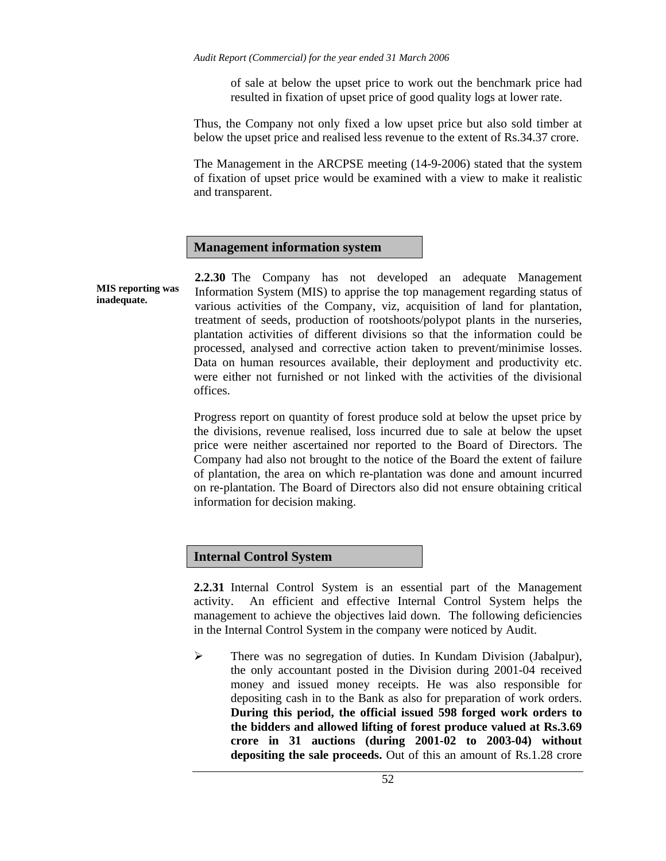of sale at below the upset price to work out the benchmark price had resulted in fixation of upset price of good quality logs at lower rate.

Thus, the Company not only fixed a low upset price but also sold timber at below the upset price and realised less revenue to the extent of Rs.34.37 crore.

The Management in the ARCPSE meeting (14-9-2006) stated that the system of fixation of upset price would be examined with a view to make it realistic and transparent.

# **Management information system**

**2.2.30** The Company has not developed an adequate Management Information System (MIS) to apprise the top management regarding status of various activities of the Company, viz, acquisition of land for plantation, treatment of seeds, production of rootshoots/polypot plants in the nurseries, plantation activities of different divisions so that the information could be processed, analysed and corrective action taken to prevent/minimise losses. Data on human resources available, their deployment and productivity etc. were either not furnished or not linked with the activities of the divisional offices. **MIS reporting was inadequate.** 

> Progress report on quantity of forest produce sold at below the upset price by the divisions, revenue realised, loss incurred due to sale at below the upset price were neither ascertained nor reported to the Board of Directors. The Company had also not brought to the notice of the Board the extent of failure of plantation, the area on which re-plantation was done and amount incurred on re-plantation. The Board of Directors also did not ensure obtaining critical information for decision making.

# **Internal Control System**

**2.2.31** Internal Control System is an essential part of the Management activity. An efficient and effective Internal Control System helps the management to achieve the objectives laid down. The following deficiencies in the Internal Control System in the company were noticed by Audit.

 $\triangleright$  There was no segregation of duties. In Kundam Division (Jabalpur), the only accountant posted in the Division during 2001-04 received money and issued money receipts. He was also responsible for depositing cash in to the Bank as also for preparation of work orders. **During this period, the official issued 598 forged work orders to the bidders and allowed lifting of forest produce valued at Rs.3.69 crore in 31 auctions (during 2001-02 to 2003-04) without depositing the sale proceeds.** Out of this an amount of Rs.1.28 crore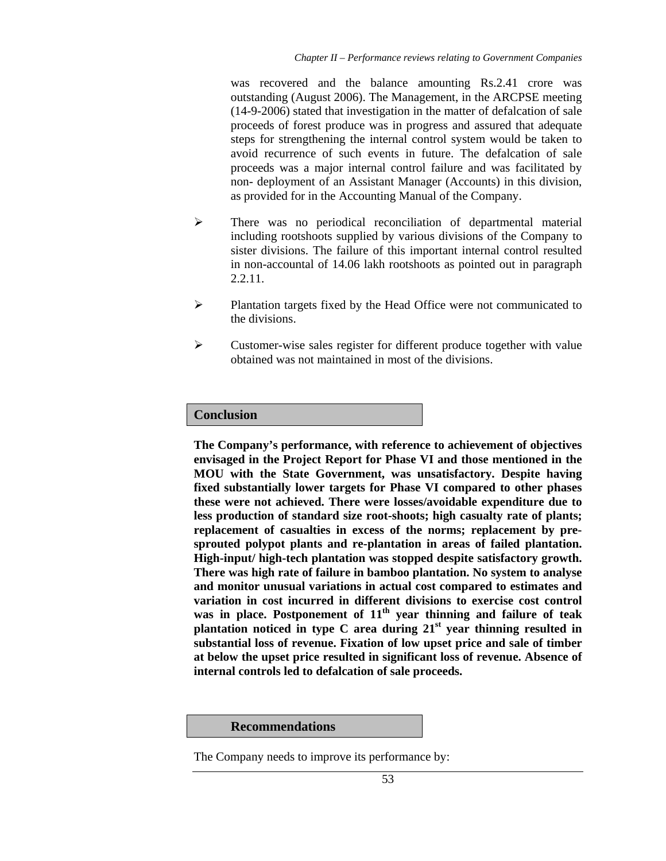was recovered and the balance amounting Rs.2.41 crore was outstanding (August 2006). The Management, in the ARCPSE meeting (14-9-2006) stated that investigation in the matter of defalcation of sale proceeds of forest produce was in progress and assured that adequate steps for strengthening the internal control system would be taken to avoid recurrence of such events in future. The defalcation of sale proceeds was a major internal control failure and was facilitated by non- deployment of an Assistant Manager (Accounts) in this division, as provided for in the Accounting Manual of the Company.

- $\triangleright$  There was no periodical reconciliation of departmental material including rootshoots supplied by various divisions of the Company to sister divisions. The failure of this important internal control resulted in non-accountal of 14.06 lakh rootshoots as pointed out in paragraph 2.2.11.
- ¾ Plantation targets fixed by the Head Office were not communicated to the divisions.
- ¾ Customer-wise sales register for different produce together with value obtained was not maintained in most of the divisions.

## **Conclusion**

**The Company's performance, with reference to achievement of objectives envisaged in the Project Report for Phase VI and those mentioned in the MOU with the State Government, was unsatisfactory. Despite having fixed substantially lower targets for Phase VI compared to other phases these were not achieved. There were losses/avoidable expenditure due to less production of standard size root-shoots; high casualty rate of plants; replacement of casualties in excess of the norms; replacement by presprouted polypot plants and re-plantation in areas of failed plantation. High-input/ high-tech plantation was stopped despite satisfactory growth. There was high rate of failure in bamboo plantation. No system to analyse and monitor unusual variations in actual cost compared to estimates and variation in cost incurred in different divisions to exercise cost control was in place. Postponement of 11th year thinning and failure of teak plantation noticed in type C area during 21st year thinning resulted in substantial loss of revenue. Fixation of low upset price and sale of timber at below the upset price resulted in significant loss of revenue. Absence of internal controls led to defalcation of sale proceeds.** 

### **Recommendations**

The Company needs to improve its performance by: